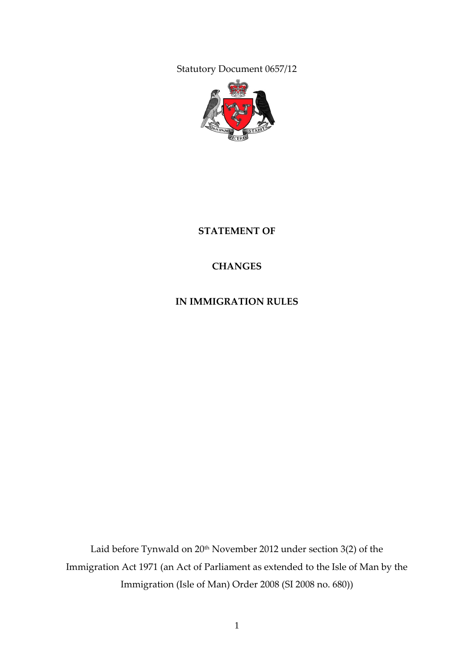Statutory Document 0657/12



**STATEMENT OF**

### **CHANGES**

**IN IMMIGRATION RULES**

Laid before Tynwald on 20<sup>th</sup> November 2012 under section 3(2) of the Immigration Act 1971 (an Act of Parliament as extended to the Isle of Man by the Immigration (Isle of Man) Order 2008 (SI 2008 no. 680))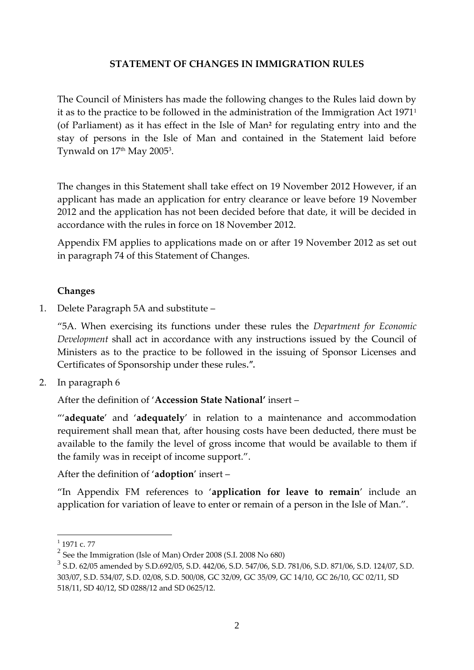#### **STATEMENT OF CHANGES IN IMMIGRATION RULES**

The Council of Ministers has made the following changes to the Rules laid down by it as to the practice to be followed in the administration of the Immigration Act 1971<sup>1</sup> (of Parliament) as it has effect in the Isle of Man**<sup>2</sup>** for regulating entry into and the stay of persons in the Isle of Man and contained in the Statement laid before Tynwald on  $17^{\rm th}$  May 2005 $^{\rm 3}.$ 

The changes in this Statement shall take effect on 19 November 2012 However, if an applicant has made an application for entry clearance or leave before 19 November 2012 and the application has not been decided before that date, it will be decided in accordance with the rules in force on 18 November 2012.

Appendix FM applies to applications made on or after 19 November 2012 as set out in paragraph 74 of this Statement of Changes.

#### **Changes**

1. Delete Paragraph 5A and substitute –

'5A. When exercising its functions under these rules the *Department for Economic Development* shall act in accordance with any instructions issued by the Council of Ministers as to the practice to be followed in the issuing of Sponsor Licenses and Certificates of Sponsorship under these rules.".

2. In paragraph 6

After the definition of '**Accession State National'** insert –

''**adequate**' and '**adequately**' in relation to a maintenance and accommodation requirement shall mean that, after housing costs have been deducted, there must be available to the family the level of gross income that would be available to them if the family was in receipt of income support.'.

After the definition of '**adoption**' insert –

'In Appendix FM references to '**application for leave to remain**' include an application for variation of leave to enter or remain of a person in the Isle of Man.'.

<sup>&</sup>lt;u>.</u>  $1$  1971 c. 77

 $2^{2}$  See the Immigration (Isle of Man) Order 2008 (S.I. 2008 No 680)

<sup>3</sup> S.D. 62/05 amended by S.D.692/05, S.D. 442/06, S.D. 547/06, S.D. 781/06, S.D. 871/06, S.D. 124/07, S.D. 303/07, S.D. 534/07, S.D. 02/08, S.D. 500/08, GC 32/09, GC 35/09, GC 14/10, GC 26/10, GC 02/11, SD 518/11, SD 40/12, SD 0288/12 and SD 0625/12.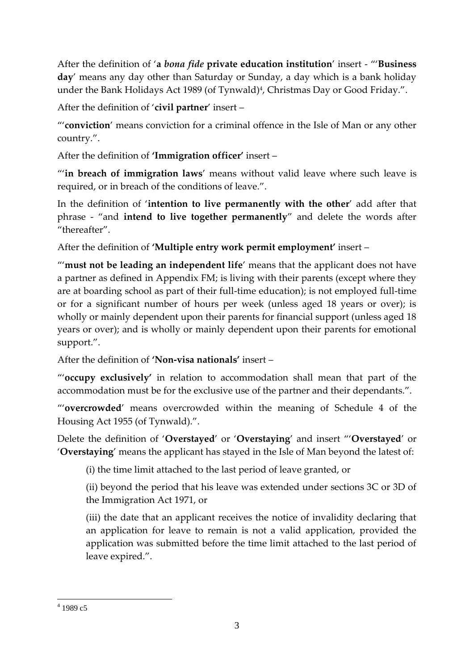After the definition of '**a** *bona fide* **private education institution**' insert - ''**Business day**' means any day other than Saturday or Sunday, a day which is a bank holiday under the Bank Holidays Act 1989 (of Tynwald)<sup>4</sup>, Christmas Day or Good Friday.".

After the definition of '**civil partner**' insert –

''**conviction**' means conviction for a criminal offence in the Isle of Man or any other country.'.

After the definition of **'Immigration officer'** insert –

''**in breach of immigration laws**' means without valid leave where such leave is required, or in breach of the conditions of leave.'.

In the definition of '**intention to live permanently with the other**' add after that phrase - 'and **intend to live together permanently**' and delete the words after 'thereafter'.

After the definition of **'Multiple entry work permit employment'** insert –

''**must not be leading an independent life**' means that the applicant does not have a partner as defined in Appendix FM; is living with their parents (except where they are at boarding school as part of their full-time education); is not employed full-time or for a significant number of hours per week (unless aged 18 years or over); is wholly or mainly dependent upon their parents for financial support (unless aged 18 years or over); and is wholly or mainly dependent upon their parents for emotional support.'.

After the definition of **'Non-visa nationals'** insert –

''**occupy exclusively'** in relation to accommodation shall mean that part of the accommodation must be for the exclusive use of the partner and their dependants.'.

''**overcrowded**' means overcrowded within the meaning of Schedule 4 of the Housing Act 1955 (of Tynwald).'.

Delete the definition of '**Overstayed**' or '**Overstaying**' and insert ''**Overstayed**' or '**Overstaying**' means the applicant has stayed in the Isle of Man beyond the latest of:

(i) the time limit attached to the last period of leave granted, or

(ii) beyond the period that his leave was extended under sections 3C or 3D of the Immigration Act 1971, or

(iii) the date that an applicant receives the notice of invalidity declaring that an application for leave to remain is not a valid application, provided the application was submitted before the time limit attached to the last period of leave expired.'.

<sup>1</sup>  $4$  1989 c5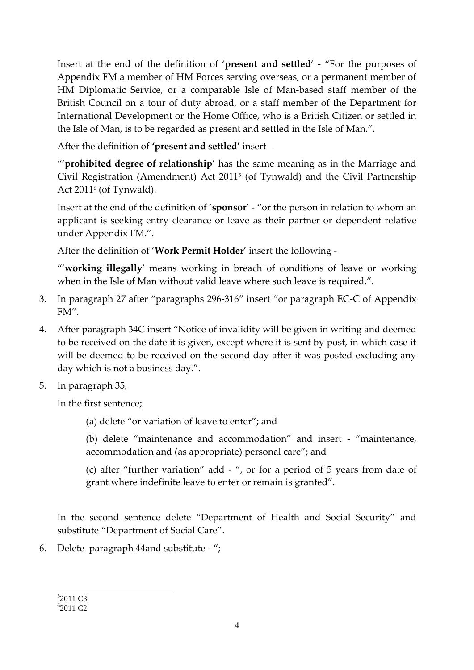Insert at the end of the definition of '**present and settled**' - 'For the purposes of Appendix FM a member of HM Forces serving overseas, or a permanent member of HM Diplomatic Service, or a comparable Isle of Man-based staff member of the British Council on a tour of duty abroad, or a staff member of the Department for International Development or the Home Office, who is a British Citizen or settled in the Isle of Man, is to be regarded as present and settled in the Isle of Man.'.

After the definition of **'present and settled'** insert –

''**prohibited degree of relationship**' has the same meaning as in the Marriage and Civil Registration (Amendment) Act 2011<sup>5</sup> (of Tynwald) and the Civil Partnership Act 2011<sup>6</sup> (of Tynwald).

Insert at the end of the definition of '**sponsor**' - 'or the person in relation to whom an applicant is seeking entry clearance or leave as their partner or dependent relative under Appendix FM.'.

After the definition of '**Work Permit Holder**' insert the following -

''**working illegally**' means working in breach of conditions of leave or working when in the Isle of Man without valid leave where such leave is required.".

- 3. In paragraph 27 after 'paragraphs 296-316' insert 'or paragraph EC-C of Appendix FM'.
- 4. After paragraph 34C insert 'Notice of invalidity will be given in writing and deemed to be received on the date it is given, except where it is sent by post, in which case it will be deemed to be received on the second day after it was posted excluding any day which is not a business day.'.
- 5. In paragraph 35,

In the first sentence;

(a) delete 'or variation of leave to enter'; and

(b) delete 'maintenance and accommodation' and insert - 'maintenance, accommodation and (as appropriate) personal care'; and

(c) after 'further variation' add - ', or for a period of 5 years from date of grant where indefinite leave to enter or remain is granted'.

In the second sentence delete 'Department of Health and Social Security' and substitute 'Department of Social Care'.

6. Delete paragraph 44and substitute - ';

<sup>&</sup>lt;u>.</u> 5 2011 C3

<sup>6</sup> 2011 C2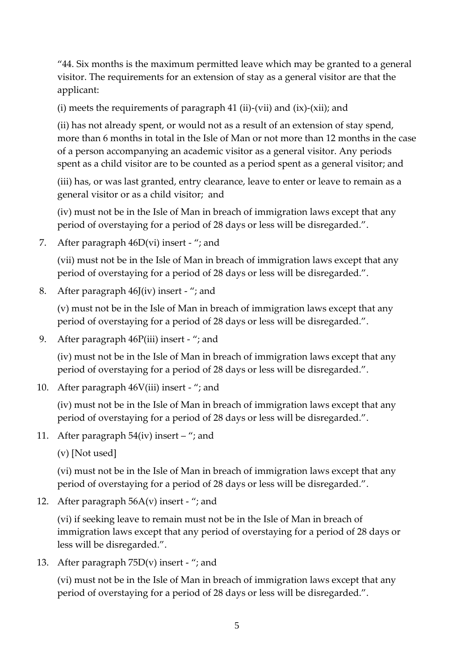'44. Six months is the maximum permitted leave which may be granted to a general visitor. The requirements for an extension of stay as a general visitor are that the applicant:

(i) meets the requirements of paragraph 41 (ii)-(vii) and (ix)-(xii); and

(ii) has not already spent, or would not as a result of an extension of stay spend, more than 6 months in total in the Isle of Man or not more than 12 months in the case of a person accompanying an academic visitor as a general visitor. Any periods spent as a child visitor are to be counted as a period spent as a general visitor; and

(iii) has, or was last granted, entry clearance, leave to enter or leave to remain as a general visitor or as a child visitor; and

(iv) must not be in the Isle of Man in breach of immigration laws except that any period of overstaying for a period of 28 days or less will be disregarded.'.

7. After paragraph  $46D(vi)$  insert - "; and

(vii) must not be in the Isle of Man in breach of immigration laws except that any period of overstaying for a period of 28 days or less will be disregarded.'.

8. After paragraph  $46$ J $(iv)$  insert - "; and

(v) must not be in the Isle of Man in breach of immigration laws except that any period of overstaying for a period of 28 days or less will be disregarded.'.

9. After paragraph 46P(iii) insert - "; and

(iv) must not be in the Isle of Man in breach of immigration laws except that any period of overstaying for a period of 28 days or less will be disregarded.'.

10. After paragraph 46V(iii) insert - '; and

(iv) must not be in the Isle of Man in breach of immigration laws except that any period of overstaying for a period of 28 days or less will be disregarded.'.

- 11. After paragraph  $54(iv)$  insert "; and
	- (v) [Not used]

(vi) must not be in the Isle of Man in breach of immigration laws except that any period of overstaying for a period of 28 days or less will be disregarded.'.

12. After paragraph  $56A(v)$  insert - "; and

(vi) if seeking leave to remain must not be in the Isle of Man in breach of immigration laws except that any period of overstaying for a period of 28 days or less will be disregarded.'.

13. After paragraph  $75D(v)$  insert - "; and

(vi) must not be in the Isle of Man in breach of immigration laws except that any period of overstaying for a period of 28 days or less will be disregarded.'.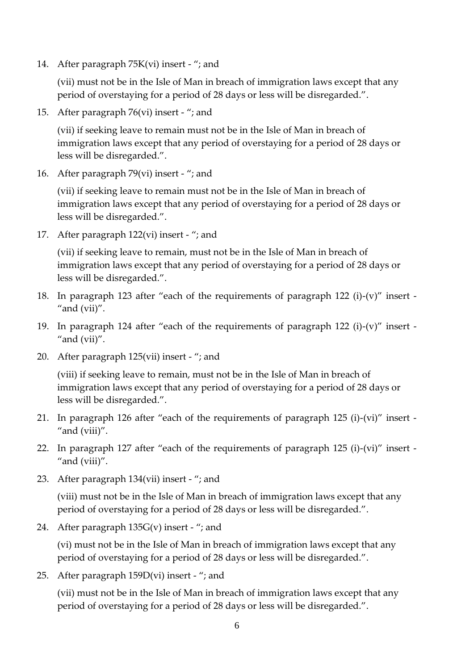14. After paragraph 75K(vi) insert - "; and

(vii) must not be in the Isle of Man in breach of immigration laws except that any period of overstaying for a period of 28 days or less will be disregarded.'.

15. After paragraph 76(vi) insert - "; and

(vii) if seeking leave to remain must not be in the Isle of Man in breach of immigration laws except that any period of overstaying for a period of 28 days or less will be disregarded.'.

16. After paragraph 79(vi) insert - "; and

(vii) if seeking leave to remain must not be in the Isle of Man in breach of immigration laws except that any period of overstaying for a period of 28 days or less will be disregarded.'.

17. After paragraph 122(vi) insert - "; and

(vii) if seeking leave to remain, must not be in the Isle of Man in breach of immigration laws except that any period of overstaying for a period of 28 days or less will be disregarded.'.

- 18. In paragraph 123 after 'each of the requirements of paragraph 122 (i)-(v)' insert "and (vii)".
- 19. In paragraph 124 after 'each of the requirements of paragraph 122 (i)-(v)' insert "and  $(vii)$ ".
- 20. After paragraph 125(vii) insert "; and

(viii) if seeking leave to remain, must not be in the Isle of Man in breach of immigration laws except that any period of overstaying for a period of 28 days or less will be disregarded.'.

- 21. In paragraph 126 after "each of the requirements of paragraph 125 (i)-(vi)" insert -"and (viii)".
- 22. In paragraph 127 after "each of the requirements of paragraph 125 (i)-(vi)" insert -"and (viii)".
- 23. After paragraph 134(vii) insert "; and

(viii) must not be in the Isle of Man in breach of immigration laws except that any period of overstaying for a period of 28 days or less will be disregarded.'.

24. After paragraph  $135G(v)$  insert - "; and

(vi) must not be in the Isle of Man in breach of immigration laws except that any period of overstaying for a period of 28 days or less will be disregarded.'.

25. After paragraph 159D(vi) insert - "; and

(vii) must not be in the Isle of Man in breach of immigration laws except that any period of overstaying for a period of 28 days or less will be disregarded.'.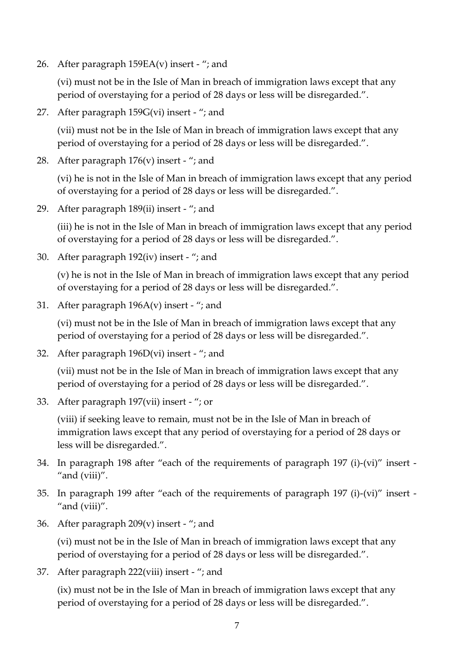26. After paragraph  $159EA(v)$  insert - "; and

(vi) must not be in the Isle of Man in breach of immigration laws except that any period of overstaying for a period of 28 days or less will be disregarded.'.

27. After paragraph 159G(vi) insert - "; and

(vii) must not be in the Isle of Man in breach of immigration laws except that any period of overstaying for a period of 28 days or less will be disregarded.'.

28. After paragraph  $176(v)$  insert - "; and

(vi) he is not in the Isle of Man in breach of immigration laws except that any period of overstaying for a period of 28 days or less will be disregarded.'.

29. After paragraph 189(ii) insert - "; and

(iii) he is not in the Isle of Man in breach of immigration laws except that any period of overstaying for a period of 28 days or less will be disregarded.'.

30. After paragraph 192(iv) insert - '; and

(v) he is not in the Isle of Man in breach of immigration laws except that any period of overstaying for a period of 28 days or less will be disregarded.'.

31. After paragraph  $196A(v)$  insert - "; and

(vi) must not be in the Isle of Man in breach of immigration laws except that any period of overstaying for a period of 28 days or less will be disregarded.'.

32. After paragraph  $196D(vi)$  insert - "; and

(vii) must not be in the Isle of Man in breach of immigration laws except that any period of overstaying for a period of 28 days or less will be disregarded.'.

33. After paragraph 197(vii) insert - '; or

(viii) if seeking leave to remain, must not be in the Isle of Man in breach of immigration laws except that any period of overstaying for a period of 28 days or less will be disregarded.'.

- 34. In paragraph 198 after "each of the requirements of paragraph 197 (i)-(vi)" insert -"and (viii)".
- 35. In paragraph 199 after 'each of the requirements of paragraph 197 (i)-(vi)' insert "and (viii)".
- 36. After paragraph  $209(v)$  insert "; and

(vi) must not be in the Isle of Man in breach of immigration laws except that any period of overstaying for a period of 28 days or less will be disregarded.'.

37. After paragraph 222(viii) insert - '; and

(ix) must not be in the Isle of Man in breach of immigration laws except that any period of overstaying for a period of 28 days or less will be disregarded.'.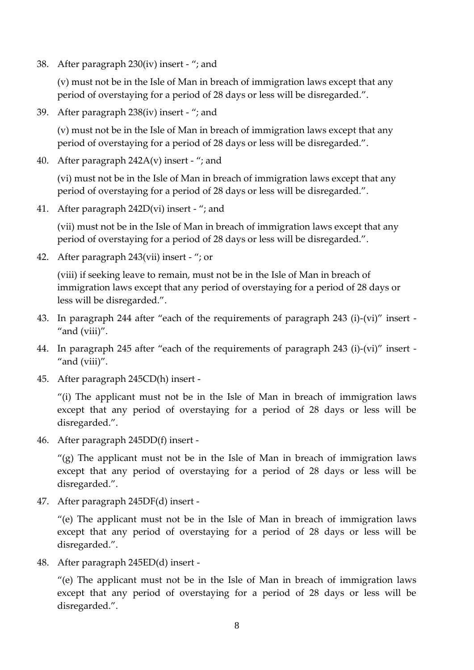38. After paragraph 230(iv) insert - '; and

(v) must not be in the Isle of Man in breach of immigration laws except that any period of overstaying for a period of 28 days or less will be disregarded.'.

39. After paragraph 238(iv) insert - "; and

(v) must not be in the Isle of Man in breach of immigration laws except that any period of overstaying for a period of 28 days or less will be disregarded.'.

40. After paragraph  $242A(v)$  insert - "; and

(vi) must not be in the Isle of Man in breach of immigration laws except that any period of overstaying for a period of 28 days or less will be disregarded.'.

41. After paragraph 242D(vi) insert - "; and

(vii) must not be in the Isle of Man in breach of immigration laws except that any period of overstaying for a period of 28 days or less will be disregarded.'.

42. After paragraph 243(vii) insert - "; or

(viii) if seeking leave to remain, must not be in the Isle of Man in breach of immigration laws except that any period of overstaying for a period of 28 days or less will be disregarded.'.

- 43. In paragraph 244 after "each of the requirements of paragraph 243 (i)-(vi)" insert -"and (viii)".
- 44. In paragraph 245 after "each of the requirements of paragraph 243 (i)-(vi)" insert -"and (viii)".
- 45. After paragraph 245CD(h) insert -

'(i) The applicant must not be in the Isle of Man in breach of immigration laws except that any period of overstaying for a period of 28 days or less will be disregarded.".

46. After paragraph 245DD(f) insert -

 $'(g)$  The applicant must not be in the Isle of Man in breach of immigration laws except that any period of overstaying for a period of 28 days or less will be disregarded.'.

47. After paragraph 245DF(d) insert -

'(e) The applicant must not be in the Isle of Man in breach of immigration laws except that any period of overstaying for a period of 28 days or less will be disregarded.'.

48. After paragraph 245ED(d) insert -

'(e) The applicant must not be in the Isle of Man in breach of immigration laws except that any period of overstaying for a period of 28 days or less will be disregarded.'.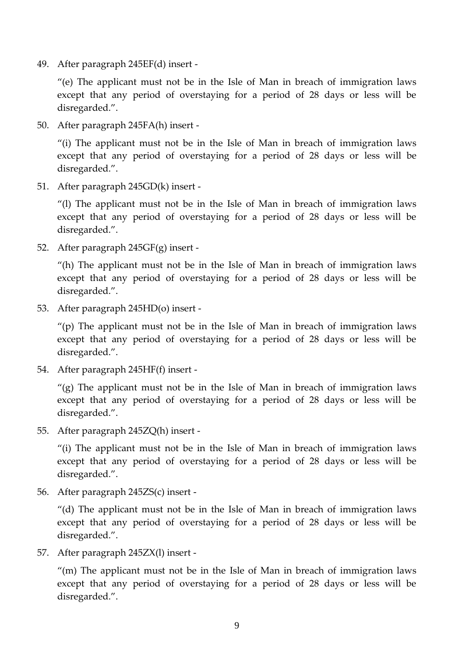49. After paragraph 245EF(d) insert -

'(e) The applicant must not be in the Isle of Man in breach of immigration laws except that any period of overstaying for a period of 28 days or less will be disregarded.'.

50. After paragraph 245FA(h) insert -

'(i) The applicant must not be in the Isle of Man in breach of immigration laws except that any period of overstaying for a period of 28 days or less will be disregarded.".

51. After paragraph 245GD(k) insert -

'(l) The applicant must not be in the Isle of Man in breach of immigration laws except that any period of overstaying for a period of 28 days or less will be disregarded.".

52. After paragraph 245GF(g) insert -

'(h) The applicant must not be in the Isle of Man in breach of immigration laws except that any period of overstaying for a period of 28 days or less will be disregarded.'.

53. After paragraph 245HD(o) insert -

 $''(p)$  The applicant must not be in the Isle of Man in breach of immigration laws except that any period of overstaying for a period of 28 days or less will be disregarded.".

54. After paragraph 245HF(f) insert -

 $\ell$ (g) The applicant must not be in the Isle of Man in breach of immigration laws except that any period of overstaying for a period of 28 days or less will be disregarded.".

55. After paragraph 245ZQ(h) insert -

'(i) The applicant must not be in the Isle of Man in breach of immigration laws except that any period of overstaying for a period of 28 days or less will be disregarded.'.

56. After paragraph 245ZS(c) insert -

'(d) The applicant must not be in the Isle of Man in breach of immigration laws except that any period of overstaying for a period of 28 days or less will be disregarded.'.

57. After paragraph 245ZX(l) insert -

'(m) The applicant must not be in the Isle of Man in breach of immigration laws except that any period of overstaying for a period of 28 days or less will be disregarded.'.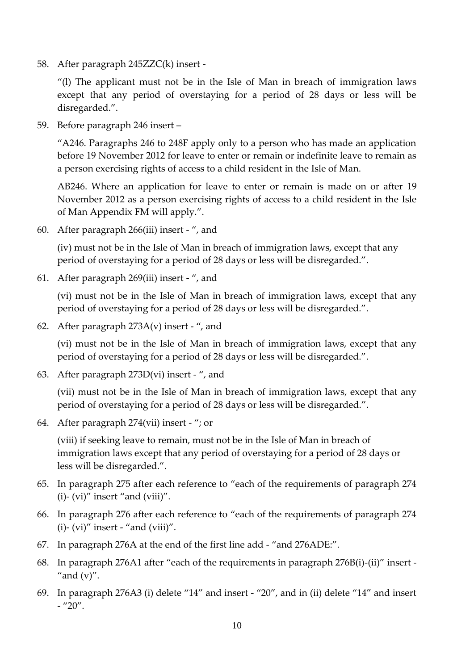58. After paragraph 245ZZC(k) insert -

'(l) The applicant must not be in the Isle of Man in breach of immigration laws except that any period of overstaying for a period of 28 days or less will be disregarded.'.

59. Before paragraph 246 insert –

'A246. Paragraphs 246 to 248F apply only to a person who has made an application before 19 November 2012 for leave to enter or remain or indefinite leave to remain as a person exercising rights of access to a child resident in the Isle of Man.

AB246. Where an application for leave to enter or remain is made on or after 19 November 2012 as a person exercising rights of access to a child resident in the Isle of Man Appendix FM will apply.'.

60. After paragraph 266(iii) insert - ', and

(iv) must not be in the Isle of Man in breach of immigration laws, except that any period of overstaying for a period of 28 days or less will be disregarded.'.

61. After paragraph 269(iii) insert - ', and

(vi) must not be in the Isle of Man in breach of immigration laws, except that any period of overstaying for a period of 28 days or less will be disregarded.'.

62. After paragraph  $273A(v)$  insert - ", and

(vi) must not be in the Isle of Man in breach of immigration laws, except that any period of overstaying for a period of 28 days or less will be disregarded.'.

63. After paragraph 273D(vi) insert - ', and

(vii) must not be in the Isle of Man in breach of immigration laws, except that any period of overstaying for a period of 28 days or less will be disregarded.'.

64. After paragraph 274(vii) insert - '; or

(viii) if seeking leave to remain, must not be in the Isle of Man in breach of immigration laws except that any period of overstaying for a period of 28 days or less will be disregarded.'.

- 65. In paragraph 275 after each reference to 'each of the requirements of paragraph 274  $(i)$ -  $(vi)$ " insert "and  $(viii)$ ".
- 66. In paragraph 276 after each reference to 'each of the requirements of paragraph 274  $(i)$ -  $(vi)$ " insert - "and  $(viii)$ ".
- 67. In paragraph 276A at the end of the first line add 'and 276ADE:'.
- 68. In paragraph 276A1 after 'each of the requirements in paragraph 276B(i)-(ii)' insert "and  $(v)$ ".
- 69. In paragraph 276A3 (i) delete '14' and insert '20', and in (ii) delete '14' and insert  $-$  "20".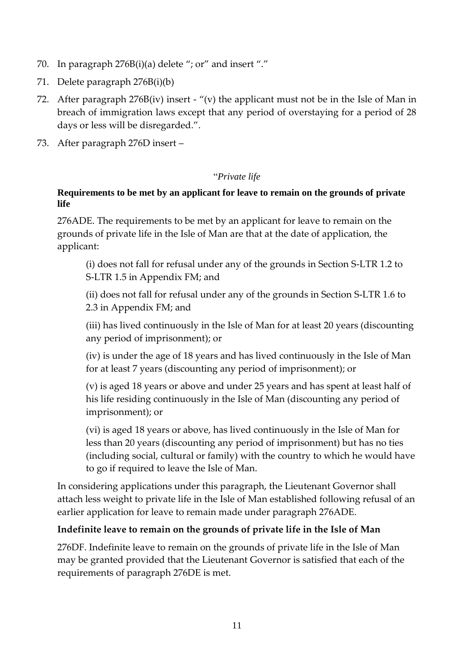- 70. In paragraph  $276B(i)(a)$  delete "; or" and insert "."
- 71. Delete paragraph 276B(i)(b)
- 72. After paragraph  $276B(iv)$  insert "(v) the applicant must not be in the Isle of Man in breach of immigration laws except that any period of overstaying for a period of 28 days or less will be disregarded.'.
- 73. After paragraph 276D insert –

#### "*Private life*

#### **Requirements to be met by an applicant for leave to remain on the grounds of private life**

276ADE. The requirements to be met by an applicant for leave to remain on the grounds of private life in the Isle of Man are that at the date of application, the applicant:

(i) does not fall for refusal under any of the grounds in Section S-LTR 1.2 to S-LTR 1.5 in Appendix FM; and

(ii) does not fall for refusal under any of the grounds in Section S-LTR 1.6 to 2.3 in Appendix FM; and

(iii) has lived continuously in the Isle of Man for at least 20 years (discounting any period of imprisonment); or

(iv) is under the age of 18 years and has lived continuously in the Isle of Man for at least 7 years (discounting any period of imprisonment); or

(v) is aged 18 years or above and under 25 years and has spent at least half of his life residing continuously in the Isle of Man (discounting any period of imprisonment); or

(vi) is aged 18 years or above, has lived continuously in the Isle of Man for less than 20 years (discounting any period of imprisonment) but has no ties (including social, cultural or family) with the country to which he would have to go if required to leave the Isle of Man.

In considering applications under this paragraph, the Lieutenant Governor shall attach less weight to private life in the Isle of Man established following refusal of an earlier application for leave to remain made under paragraph 276ADE.

## **Indefinite leave to remain on the grounds of private life in the Isle of Man**

276DF. Indefinite leave to remain on the grounds of private life in the Isle of Man may be granted provided that the Lieutenant Governor is satisfied that each of the requirements of paragraph 276DE is met.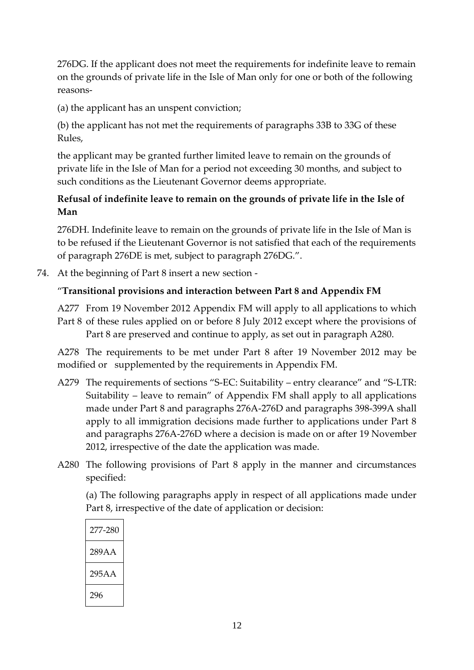276DG. If the applicant does not meet the requirements for indefinite leave to remain on the grounds of private life in the Isle of Man only for one or both of the following reasons-

(a) the applicant has an unspent conviction;

(b) the applicant has not met the requirements of paragraphs 33B to 33G of these Rules,

the applicant may be granted further limited leave to remain on the grounds of private life in the Isle of Man for a period not exceeding 30 months, and subject to such conditions as the Lieutenant Governor deems appropriate.

# **Refusal of indefinite leave to remain on the grounds of private life in the Isle of Man**

276DH. Indefinite leave to remain on the grounds of private life in the Isle of Man is to be refused if the Lieutenant Governor is not satisfied that each of the requirements of paragraph 276DE is met, subject to paragraph 276DG.'.

74. At the beginning of Part 8 insert a new section -

# '**Transitional provisions and interaction between Part 8 and Appendix FM**

A277 From 19 November 2012 Appendix FM will apply to all applications to which Part 8 of these rules applied on or before 8 July 2012 except where the provisions of Part 8 are preserved and continue to apply, as set out in paragraph A280.

A278 The requirements to be met under Part 8 after 19 November 2012 may be modified or supplemented by the requirements in Appendix FM.

- A279 The requirements of sections 'S-EC: Suitability entry clearance' and 'S-LTR: Suitability – leave to remain' of Appendix FM shall apply to all applications made under Part 8 and paragraphs 276A-276D and paragraphs 398-399A shall apply to all immigration decisions made further to applications under Part 8 and paragraphs 276A-276D where a decision is made on or after 19 November 2012, irrespective of the date the application was made.
- A280 The following provisions of Part 8 apply in the manner and circumstances specified:

(a) The following paragraphs apply in respect of all applications made under Part 8, irrespective of the date of application or decision:

| 277-280 |
|---------|
| 289A A  |
| 295AA   |
| 296     |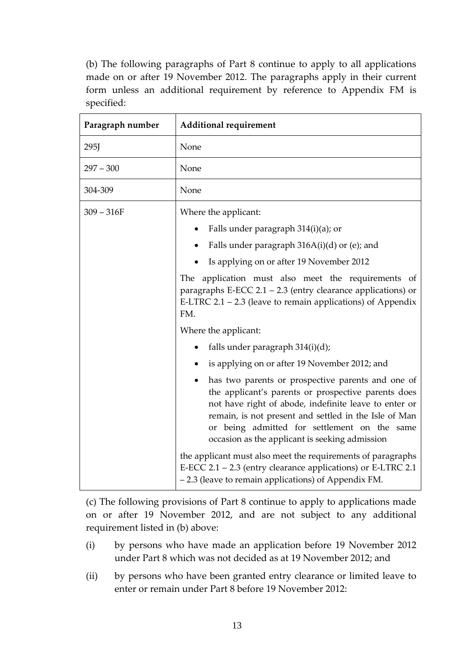(b) The following paragraphs of Part 8 continue to apply to all applications made on or after 19 November 2012. The paragraphs apply in their current form unless an additional requirement by reference to Appendix FM is specified:

| Paragraph number | <b>Additional requirement</b>                                                                                                                                                                                                                                                                                                |
|------------------|------------------------------------------------------------------------------------------------------------------------------------------------------------------------------------------------------------------------------------------------------------------------------------------------------------------------------|
| 295              | None                                                                                                                                                                                                                                                                                                                         |
| $297 - 300$      | None                                                                                                                                                                                                                                                                                                                         |
| 304-309          | None                                                                                                                                                                                                                                                                                                                         |
| $309 - 316F$     | Where the applicant:                                                                                                                                                                                                                                                                                                         |
|                  | Falls under paragraph 314(i)(a); or                                                                                                                                                                                                                                                                                          |
|                  | Falls under paragraph $316A(i)(d)$ or (e); and                                                                                                                                                                                                                                                                               |
|                  | Is applying on or after 19 November 2012                                                                                                                                                                                                                                                                                     |
|                  | The application must also meet the requirements of<br>paragraphs E-ECC $2.1 - 2.3$ (entry clearance applications) or<br>E-LTRC $2.1 - 2.3$ (leave to remain applications) of Appendix<br>FM.                                                                                                                                 |
|                  | Where the applicant:                                                                                                                                                                                                                                                                                                         |
|                  | falls under paragraph $314(i)(d)$ ;                                                                                                                                                                                                                                                                                          |
|                  | is applying on or after 19 November 2012; and                                                                                                                                                                                                                                                                                |
|                  | has two parents or prospective parents and one of<br>the applicant's parents or prospective parents does<br>not have right of abode, indefinite leave to enter or<br>remain, is not present and settled in the Isle of Man<br>or being admitted for settlement on the same<br>occasion as the applicant is seeking admission |
|                  | the applicant must also meet the requirements of paragraphs<br>E-ECC 2.1 - 2.3 (entry clearance applications) or E-LTRC 2.1<br>-2.3 (leave to remain applications) of Appendix FM.                                                                                                                                           |

(c) The following provisions of Part 8 continue to apply to applications made on or after 19 November 2012, and are not subject to any additional requirement listed in (b) above:

- (i) by persons who have made an application before 19 November 2012 under Part 8 which was not decided as at 19 November 2012; and
- (ii) by persons who have been granted entry clearance or limited leave to enter or remain under Part 8 before 19 November 2012: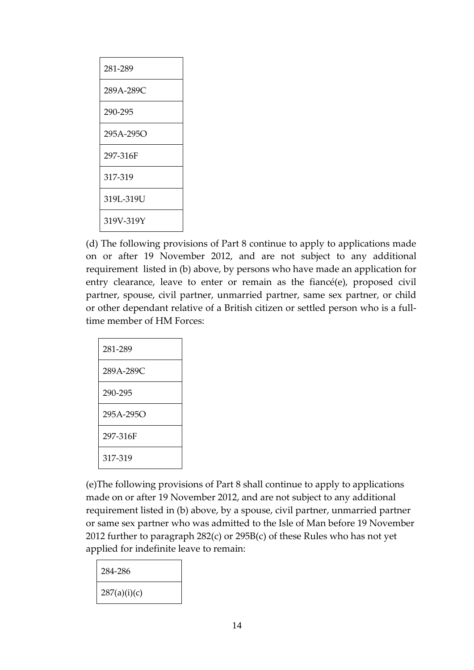| 281-289   |
|-----------|
| 289A-289C |
| 290-295   |
| 295A-295O |
| 297-316F  |
| 317-319   |
| 319L-319U |
| 319V-319Y |

(d) The following provisions of Part 8 continue to apply to applications made on or after 19 November 2012, and are not subject to any additional requirement listed in (b) above, by persons who have made an application for entry clearance, leave to enter or remain as the fiancé(e), proposed civil partner, spouse, civil partner, unmarried partner, same sex partner, or child or other dependant relative of a British citizen or settled person who is a fulltime member of HM Forces:

| 281-289       |
|---------------|
| 289A-289C     |
| 290-295       |
| $295A - 295O$ |
| 297-316F      |
| 317-319       |

(e)The following provisions of Part 8 shall continue to apply to applications made on or after 19 November 2012, and are not subject to any additional requirement listed in (b) above, by a spouse, civil partner, unmarried partner or same sex partner who was admitted to the Isle of Man before 19 November 2012 further to paragraph 282(c) or 295B(c) of these Rules who has not yet applied for indefinite leave to remain:

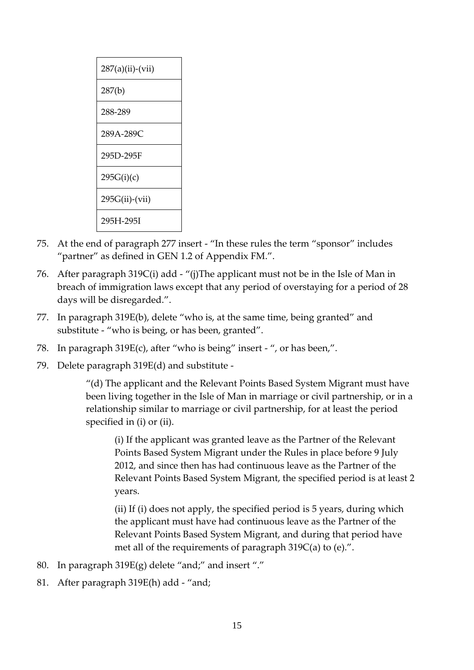| $287(a)(ii)-(vii)$ |
|--------------------|
| 287(b)             |
| 288-289            |
| 289A-289C          |
| 295D-295F          |
| 295G(i)(c)         |
| $295G(ii)-(vii)$   |
| 295H-295I          |

- 75. At the end of paragraph 277 insert 'In these rules the term 'sponsor' includes 'partner' as defined in GEN 1.2 of Appendix FM.'.
- 76. After paragraph 319C(i) add '(j)The applicant must not be in the Isle of Man in breach of immigration laws except that any period of overstaying for a period of 28 days will be disregarded.'.
- 77. In paragraph 319E(b), delete 'who is, at the same time, being granted' and substitute - "who is being, or has been, granted".
- 78. In paragraph 319E(c), after 'who is being' insert ', or has been,'.
- 79. Delete paragraph 319E(d) and substitute -

'(d) The applicant and the Relevant Points Based System Migrant must have been living together in the Isle of Man in marriage or civil partnership, or in a relationship similar to marriage or civil partnership, for at least the period specified in (i) or (ii).

(i) If the applicant was granted leave as the Partner of the Relevant Points Based System Migrant under the Rules in place before 9 July 2012, and since then has had continuous leave as the Partner of the Relevant Points Based System Migrant, the specified period is at least 2 years.

(ii) If (i) does not apply, the specified period is 5 years, during which the applicant must have had continuous leave as the Partner of the Relevant Points Based System Migrant, and during that period have met all of the requirements of paragraph 319C(a) to (e).".

- 80. In paragraph 319E(g) delete "and;" and insert "."
- 81. After paragraph 319E(h) add "and;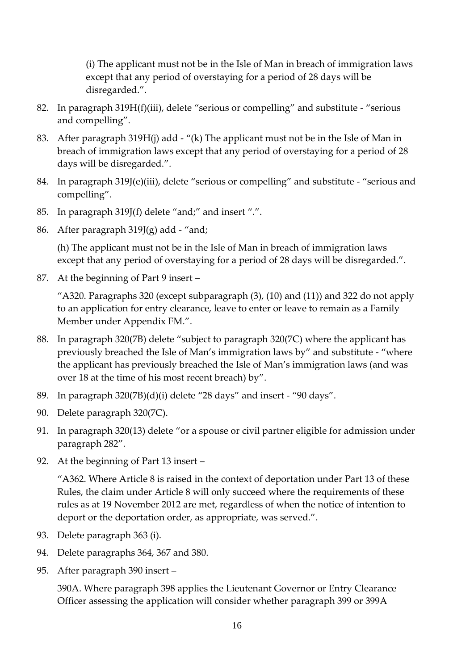(i) The applicant must not be in the Isle of Man in breach of immigration laws except that any period of overstaying for a period of 28 days will be disregarded.'.

- 82. In paragraph 319H(f)(iii), delete "serious or compelling" and substitute "serious and compelling'.
- 83. After paragraph 319H(j) add '(k) The applicant must not be in the Isle of Man in breach of immigration laws except that any period of overstaying for a period of 28 days will be disregarded.'.
- 84. In paragraph 319J(e)(iii), delete "serious or compelling" and substitute "serious and compelling'.
- 85. In paragraph 319J(f) delete "and;" and insert ".".
- 86. After paragraph  $319J(g)$  add "and;

(h) The applicant must not be in the Isle of Man in breach of immigration laws except that any period of overstaying for a period of 28 days will be disregarded.'.

87. At the beginning of Part 9 insert –

'A320. Paragraphs 320 (except subparagraph (3), (10) and (11)) and 322 do not apply to an application for entry clearance, leave to enter or leave to remain as a Family Member under Appendix FM.'.

- 88. In paragraph 320(7B) delete 'subject to paragraph 320(7C) where the applicant has previously breached the Isle of Man's immigration laws by' and substitute - 'where the applicant has previously breached the Isle of Man's immigration laws (and was over 18 at the time of his most recent breach) by'.
- 89. In paragraph 320(7B)(d)(i) delete '28 days' and insert '90 days'.
- 90. Delete paragraph 320(7C).
- 91. In paragraph 320(13) delete 'or a spouse or civil partner eligible for admission under paragraph 282'.
- 92. At the beginning of Part 13 insert –

'A362. Where Article 8 is raised in the context of deportation under Part 13 of these Rules, the claim under Article 8 will only succeed where the requirements of these rules as at 19 November 2012 are met, regardless of when the notice of intention to deport or the deportation order, as appropriate, was served.'.

- 93. Delete paragraph 363 (i).
- 94. Delete paragraphs 364, 367 and 380.
- 95. After paragraph 390 insert –

390A. Where paragraph 398 applies the Lieutenant Governor or Entry Clearance Officer assessing the application will consider whether paragraph 399 or 399A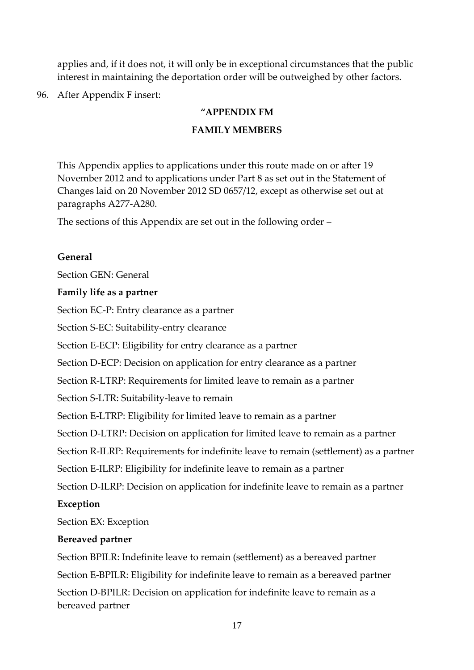applies and, if it does not, it will only be in exceptional circumstances that the public interest in maintaining the deportation order will be outweighed by other factors.

96. After Appendix F insert:

#### **'APPENDIX FM**

#### **FAMILY MEMBERS**

This Appendix applies to applications under this route made on or after 19 November 2012 and to applications under Part 8 as set out in the Statement of Changes laid on 20 November 2012 SD 0657/12, except as otherwise set out at paragraphs A277-A280.

The sections of this Appendix are set out in the following order –

#### **General**

Section GEN: General

#### **Family life as a partner**

Section EC-P: Entry clearance as a partner

Section S-EC: Suitability-entry clearance

Section E-ECP: Eligibility for entry clearance as a partner

Section D-ECP: Decision on application for entry clearance as a partner

Section R-LTRP: Requirements for limited leave to remain as a partner

Section S-LTR: Suitability-leave to remain

Section E-LTRP: Eligibility for limited leave to remain as a partner

Section D-LTRP: Decision on application for limited leave to remain as a partner

Section R-ILRP: Requirements for indefinite leave to remain (settlement) as a partner

Section E-ILRP: Eligibility for indefinite leave to remain as a partner

Section D-ILRP: Decision on application for indefinite leave to remain as a partner

#### **Exception**

Section EX: Exception

#### **Bereaved partner**

Section BPILR: Indefinite leave to remain (settlement) as a bereaved partner Section E-BPILR: Eligibility for indefinite leave to remain as a bereaved partner Section D-BPILR: Decision on application for indefinite leave to remain as a bereaved partner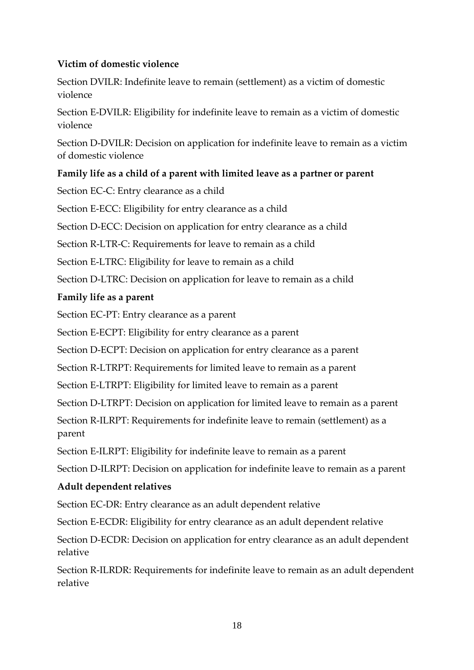### **Victim of domestic violence**

Section DVILR: Indefinite leave to remain (settlement) as a victim of domestic violence

Section E-DVILR: Eligibility for indefinite leave to remain as a victim of domestic violence

Section D-DVILR: Decision on application for indefinite leave to remain as a victim of domestic violence

## **Family life as a child of a parent with limited leave as a partner or parent**

Section EC-C: Entry clearance as a child

Section E-ECC: Eligibility for entry clearance as a child

Section D-ECC: Decision on application for entry clearance as a child

Section R-LTR-C: Requirements for leave to remain as a child

Section E-LTRC: Eligibility for leave to remain as a child

Section D-LTRC: Decision on application for leave to remain as a child

### **Family life as a parent**

Section EC-PT: Entry clearance as a parent

Section E-ECPT: Eligibility for entry clearance as a parent

Section D-ECPT: Decision on application for entry clearance as a parent

Section R-LTRPT: Requirements for limited leave to remain as a parent

Section E-LTRPT: Eligibility for limited leave to remain as a parent

Section D-LTRPT: Decision on application for limited leave to remain as a parent

Section R-ILRPT: Requirements for indefinite leave to remain (settlement) as a parent

Section E-ILRPT: Eligibility for indefinite leave to remain as a parent

Section D-ILRPT: Decision on application for indefinite leave to remain as a parent

## **Adult dependent relatives**

Section EC-DR: Entry clearance as an adult dependent relative

Section E-ECDR: Eligibility for entry clearance as an adult dependent relative

Section D-ECDR: Decision on application for entry clearance as an adult dependent relative

Section R-ILRDR: Requirements for indefinite leave to remain as an adult dependent relative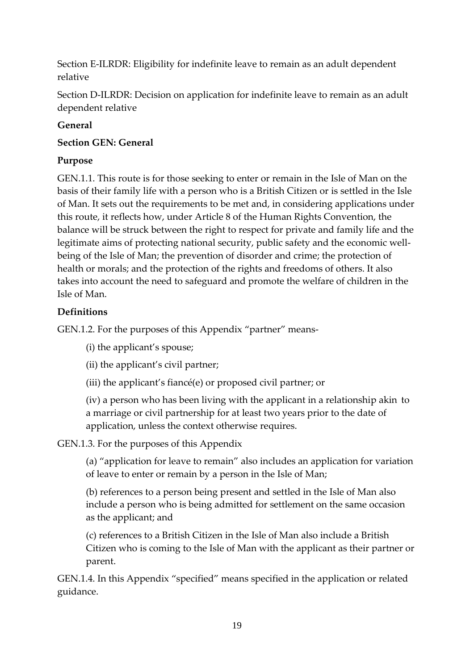Section E-ILRDR: Eligibility for indefinite leave to remain as an adult dependent relative

Section D-ILRDR: Decision on application for indefinite leave to remain as an adult dependent relative

### **General**

### **Section GEN: General**

## **Purpose**

GEN.1.1. This route is for those seeking to enter or remain in the Isle of Man on the basis of their family life with a person who is a British Citizen or is settled in the Isle of Man. It sets out the requirements to be met and, in considering applications under this route, it reflects how, under Article 8 of the Human Rights Convention, the balance will be struck between the right to respect for private and family life and the legitimate aims of protecting national security, public safety and the economic wellbeing of the Isle of Man; the prevention of disorder and crime; the protection of health or morals; and the protection of the rights and freedoms of others. It also takes into account the need to safeguard and promote the welfare of children in the Isle of Man.

# **Definitions**

GEN.1.2. For the purposes of this Appendix 'partner' means-

(i) the applicant's spouse;

(ii) the applicant's civil partner;

(iii) the applicant's fiancé(e) or proposed civil partner; or

(iv) a person who has been living with the applicant in a relationship akin to a marriage or civil partnership for at least two years prior to the date of application, unless the context otherwise requires.

GEN.1.3. For the purposes of this Appendix

(a) 'application for leave to remain' also includes an application for variation of leave to enter or remain by a person in the Isle of Man;

(b) references to a person being present and settled in the Isle of Man also include a person who is being admitted for settlement on the same occasion as the applicant; and

(c) references to a British Citizen in the Isle of Man also include a British Citizen who is coming to the Isle of Man with the applicant as their partner or parent.

GEN.1.4. In this Appendix 'specified' means specified in the application or related guidance.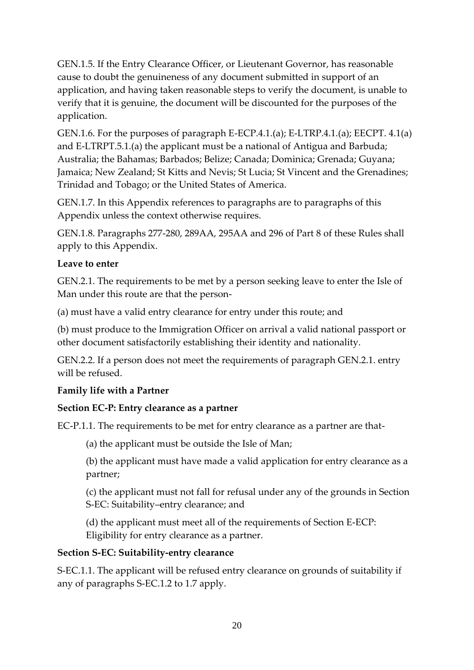GEN.1.5. If the Entry Clearance Officer, or Lieutenant Governor, has reasonable cause to doubt the genuineness of any document submitted in support of an application, and having taken reasonable steps to verify the document, is unable to verify that it is genuine, the document will be discounted for the purposes of the application.

GEN.1.6. For the purposes of paragraph E-ECP.4.1.(a); E-LTRP.4.1.(a); EECPT. 4.1(a) and E-LTRPT.5.1.(a) the applicant must be a national of Antigua and Barbuda; Australia; the Bahamas; Barbados; Belize; Canada; Dominica; Grenada; Guyana; Jamaica; New Zealand; St Kitts and Nevis; St Lucia; St Vincent and the Grenadines; Trinidad and Tobago; or the United States of America.

GEN.1.7. In this Appendix references to paragraphs are to paragraphs of this Appendix unless the context otherwise requires.

GEN.1.8. Paragraphs 277-280, 289AA, 295AA and 296 of Part 8 of these Rules shall apply to this Appendix.

## **Leave to enter**

GEN.2.1. The requirements to be met by a person seeking leave to enter the Isle of Man under this route are that the person-

(a) must have a valid entry clearance for entry under this route; and

(b) must produce to the Immigration Officer on arrival a valid national passport or other document satisfactorily establishing their identity and nationality.

GEN.2.2. If a person does not meet the requirements of paragraph GEN.2.1. entry will be refused.

## **Family life with a Partner**

## **Section EC-P: Entry clearance as a partner**

EC-P.1.1. The requirements to be met for entry clearance as a partner are that-

(a) the applicant must be outside the Isle of Man;

(b) the applicant must have made a valid application for entry clearance as a partner;

(c) the applicant must not fall for refusal under any of the grounds in Section S-EC: Suitability–entry clearance; and

(d) the applicant must meet all of the requirements of Section E-ECP: Eligibility for entry clearance as a partner.

#### **Section S-EC: Suitability-entry clearance**

S-EC.1.1. The applicant will be refused entry clearance on grounds of suitability if any of paragraphs S-EC.1.2 to 1.7 apply.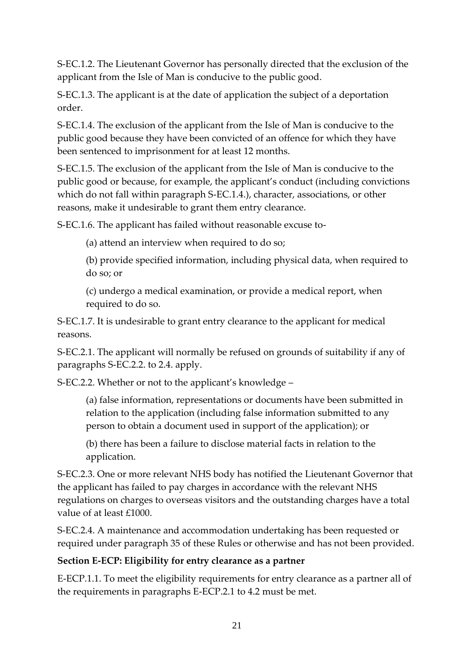S-EC.1.2. The Lieutenant Governor has personally directed that the exclusion of the applicant from the Isle of Man is conducive to the public good.

S-EC.1.3. The applicant is at the date of application the subject of a deportation order.

S-EC.1.4. The exclusion of the applicant from the Isle of Man is conducive to the public good because they have been convicted of an offence for which they have been sentenced to imprisonment for at least 12 months.

S-EC.1.5. The exclusion of the applicant from the Isle of Man is conducive to the public good or because, for example, the applicant's conduct (including convictions which do not fall within paragraph S-EC.1.4.), character, associations, or other reasons, make it undesirable to grant them entry clearance.

S-EC.1.6. The applicant has failed without reasonable excuse to-

(a) attend an interview when required to do so;

(b) provide specified information, including physical data, when required to do so; or

(c) undergo a medical examination, or provide a medical report, when required to do so.

S-EC.1.7. It is undesirable to grant entry clearance to the applicant for medical reasons.

S-EC.2.1. The applicant will normally be refused on grounds of suitability if any of paragraphs S-EC.2.2. to 2.4. apply.

S-EC.2.2. Whether or not to the applicant's knowledge –

(a) false information, representations or documents have been submitted in relation to the application (including false information submitted to any person to obtain a document used in support of the application); or

(b) there has been a failure to disclose material facts in relation to the application.

S-EC.2.3. One or more relevant NHS body has notified the Lieutenant Governor that the applicant has failed to pay charges in accordance with the relevant NHS regulations on charges to overseas visitors and the outstanding charges have a total value of at least £1000.

S-EC.2.4. A maintenance and accommodation undertaking has been requested or required under paragraph 35 of these Rules or otherwise and has not been provided.

#### **Section E-ECP: Eligibility for entry clearance as a partner**

E-ECP.1.1. To meet the eligibility requirements for entry clearance as a partner all of the requirements in paragraphs E-ECP.2.1 to 4.2 must be met.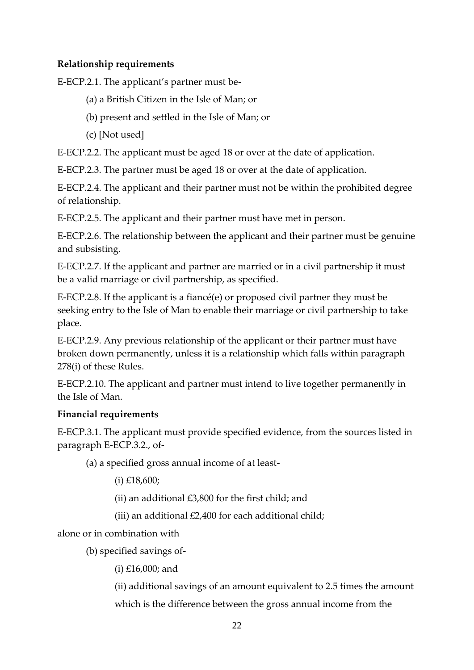### **Relationship requirements**

E-ECP.2.1. The applicant's partner must be-

- (a) a British Citizen in the Isle of Man; or
- (b) present and settled in the Isle of Man; or
- (c) [Not used]

E-ECP.2.2. The applicant must be aged 18 or over at the date of application.

E-ECP.2.3. The partner must be aged 18 or over at the date of application.

E-ECP.2.4. The applicant and their partner must not be within the prohibited degree of relationship.

E-ECP.2.5. The applicant and their partner must have met in person.

E-ECP.2.6. The relationship between the applicant and their partner must be genuine and subsisting.

E-ECP.2.7. If the applicant and partner are married or in a civil partnership it must be a valid marriage or civil partnership, as specified.

E-ECP.2.8. If the applicant is a fiancé(e) or proposed civil partner they must be seeking entry to the Isle of Man to enable their marriage or civil partnership to take place.

E-ECP.2.9. Any previous relationship of the applicant or their partner must have broken down permanently, unless it is a relationship which falls within paragraph 278(i) of these Rules.

E-ECP.2.10. The applicant and partner must intend to live together permanently in the Isle of Man.

## **Financial requirements**

E-ECP.3.1. The applicant must provide specified evidence, from the sources listed in paragraph E-ECP.3.2., of-

(a) a specified gross annual income of at least-

(i) £18,600;

(ii) an additional  $£3,800$  for the first child; and

(iii) an additional £2,400 for each additional child;

alone or in combination with

(b) specified savings of-

(i) £16,000; and

(ii) additional savings of an amount equivalent to 2.5 times the amount which is the difference between the gross annual income from the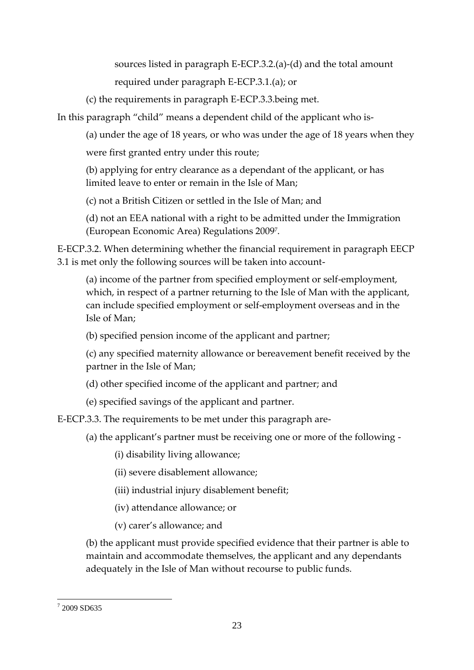sources listed in paragraph E-ECP.3.2.(a)-(d) and the total amount required under paragraph E-ECP.3.1.(a); or

(c) the requirements in paragraph E-ECP.3.3.being met.

In this paragraph 'child' means a dependent child of the applicant who is-

(a) under the age of 18 years, or who was under the age of 18 years when they

were first granted entry under this route;

(b) applying for entry clearance as a dependant of the applicant, or has limited leave to enter or remain in the Isle of Man;

(c) not a British Citizen or settled in the Isle of Man; and

(d) not an EEA national with a right to be admitted under the Immigration (European Economic Area) Regulations 2009 7 .

E-ECP.3.2. When determining whether the financial requirement in paragraph EECP 3.1 is met only the following sources will be taken into account-

(a) income of the partner from specified employment or self-employment, which, in respect of a partner returning to the Isle of Man with the applicant, can include specified employment or self-employment overseas and in the Isle of Man;

(b) specified pension income of the applicant and partner;

(c) any specified maternity allowance or bereavement benefit received by the partner in the Isle of Man;

- (d) other specified income of the applicant and partner; and
- (e) specified savings of the applicant and partner.

E-ECP.3.3. The requirements to be met under this paragraph are-

(a) the applicant's partner must be receiving one or more of the following -

(i) disability living allowance;

(ii) severe disablement allowance;

(iii) industrial injury disablement benefit;

(iv) attendance allowance; or

(v) carer's allowance; and

(b) the applicant must provide specified evidence that their partner is able to maintain and accommodate themselves, the applicant and any dependants adequately in the Isle of Man without recourse to public funds.

<sup>1</sup>  $72009$  SD635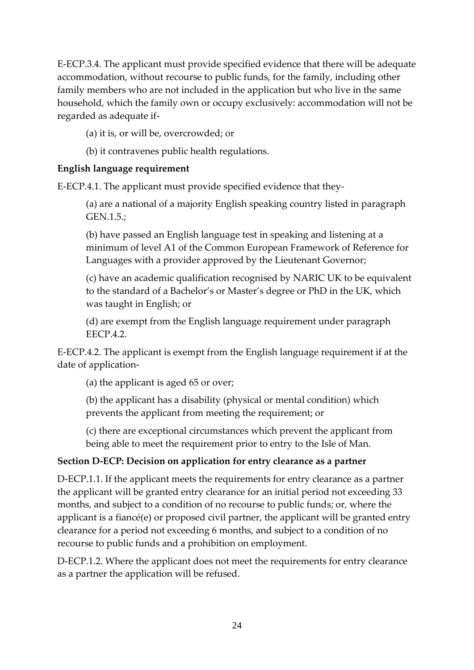E-ECP.3.4. The applicant must provide specified evidence that there will be adequate accommodation, without recourse to public funds, for the family, including other family members who are not included in the application but who live in the same household, which the family own or occupy exclusively: accommodation will not be regarded as adequate if-

- (a) it is, or will be, overcrowded; or
- (b) it contravenes public health regulations.

### **English language requirement**

E-ECP.4.1. The applicant must provide specified evidence that they-

(a) are a national of a majority English speaking country listed in paragraph GEN.1.5.;

(b) have passed an English language test in speaking and listening at a minimum of level A1 of the Common European Framework of Reference for Languages with a provider approved by the Lieutenant Governor;

(c) have an academic qualification recognised by NARIC UK to be equivalent to the standard of a Bachelor's or Master's degree or PhD in the UK, which was taught in English; or

(d) are exempt from the English language requirement under paragraph EECP.4.2.

E-ECP.4.2. The applicant is exempt from the English language requirement if at the date of application-

(a) the applicant is aged 65 or over;

(b) the applicant has a disability (physical or mental condition) which prevents the applicant from meeting the requirement; or

(c) there are exceptional circumstances which prevent the applicant from being able to meet the requirement prior to entry to the Isle of Man.

#### **Section D-ECP: Decision on application for entry clearance as a partner**

D-ECP.1.1. If the applicant meets the requirements for entry clearance as a partner the applicant will be granted entry clearance for an initial period not exceeding 33 months, and subject to a condition of no recourse to public funds; or, where the applicant is a fiancé(e) or proposed civil partner, the applicant will be granted entry clearance for a period not exceeding 6 months, and subject to a condition of no recourse to public funds and a prohibition on employment.

D-ECP.1.2. Where the applicant does not meet the requirements for entry clearance as a partner the application will be refused.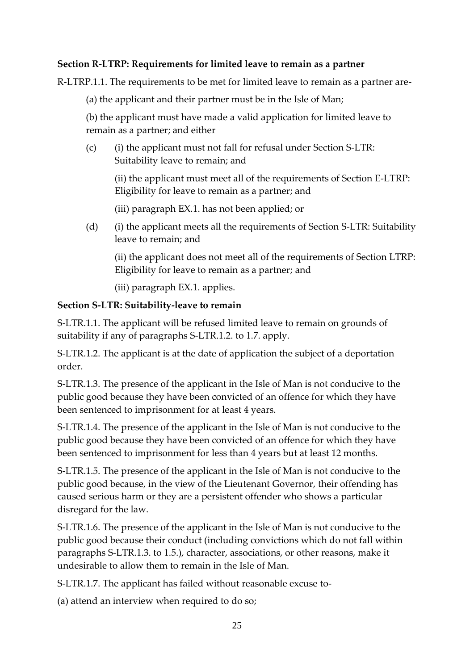#### **Section R-LTRP: Requirements for limited leave to remain as a partner**

R-LTRP.1.1. The requirements to be met for limited leave to remain as a partner are-

(a) the applicant and their partner must be in the Isle of Man;

(b) the applicant must have made a valid application for limited leave to remain as a partner; and either

(c) (i) the applicant must not fall for refusal under Section S-LTR: Suitability leave to remain; and

> (ii) the applicant must meet all of the requirements of Section E-LTRP: Eligibility for leave to remain as a partner; and

(iii) paragraph EX.1. has not been applied; or

(d) (i) the applicant meets all the requirements of Section S-LTR: Suitability leave to remain; and

(ii) the applicant does not meet all of the requirements of Section LTRP: Eligibility for leave to remain as a partner; and

(iii) paragraph EX.1. applies.

#### **Section S-LTR: Suitability-leave to remain**

S-LTR.1.1. The applicant will be refused limited leave to remain on grounds of suitability if any of paragraphs S-LTR.1.2. to 1.7. apply.

S-LTR.1.2. The applicant is at the date of application the subject of a deportation order.

S-LTR.1.3. The presence of the applicant in the Isle of Man is not conducive to the public good because they have been convicted of an offence for which they have been sentenced to imprisonment for at least 4 years.

S-LTR.1.4. The presence of the applicant in the Isle of Man is not conducive to the public good because they have been convicted of an offence for which they have been sentenced to imprisonment for less than 4 years but at least 12 months.

S-LTR.1.5. The presence of the applicant in the Isle of Man is not conducive to the public good because, in the view of the Lieutenant Governor, their offending has caused serious harm or they are a persistent offender who shows a particular disregard for the law.

S-LTR.1.6. The presence of the applicant in the Isle of Man is not conducive to the public good because their conduct (including convictions which do not fall within paragraphs S-LTR.1.3. to 1.5.), character, associations, or other reasons, make it undesirable to allow them to remain in the Isle of Man.

S-LTR.1.7. The applicant has failed without reasonable excuse to-

(a) attend an interview when required to do so;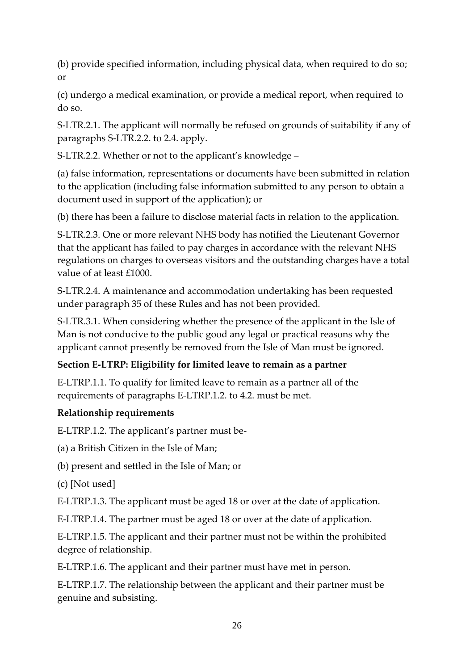(b) provide specified information, including physical data, when required to do so; or

(c) undergo a medical examination, or provide a medical report, when required to do so.

S-LTR.2.1. The applicant will normally be refused on grounds of suitability if any of paragraphs S-LTR.2.2. to 2.4. apply.

S-LTR.2.2. Whether or not to the applicant's knowledge –

(a) false information, representations or documents have been submitted in relation to the application (including false information submitted to any person to obtain a document used in support of the application); or

(b) there has been a failure to disclose material facts in relation to the application.

S-LTR.2.3. One or more relevant NHS body has notified the Lieutenant Governor that the applicant has failed to pay charges in accordance with the relevant NHS regulations on charges to overseas visitors and the outstanding charges have a total value of at least £1000.

S-LTR.2.4. A maintenance and accommodation undertaking has been requested under paragraph 35 of these Rules and has not been provided.

S-LTR.3.1. When considering whether the presence of the applicant in the Isle of Man is not conducive to the public good any legal or practical reasons why the applicant cannot presently be removed from the Isle of Man must be ignored.

## **Section E-LTRP: Eligibility for limited leave to remain as a partner**

E-LTRP.1.1. To qualify for limited leave to remain as a partner all of the requirements of paragraphs E-LTRP.1.2. to 4.2. must be met.

# **Relationship requirements**

E-LTRP.1.2. The applicant's partner must be-

(a) a British Citizen in the Isle of Man;

- (b) present and settled in the Isle of Man; or
- (c) [Not used]

E-LTRP.1.3. The applicant must be aged 18 or over at the date of application.

E-LTRP.1.4. The partner must be aged 18 or over at the date of application.

E-LTRP.1.5. The applicant and their partner must not be within the prohibited degree of relationship.

E-LTRP.1.6. The applicant and their partner must have met in person.

E-LTRP.1.7. The relationship between the applicant and their partner must be genuine and subsisting.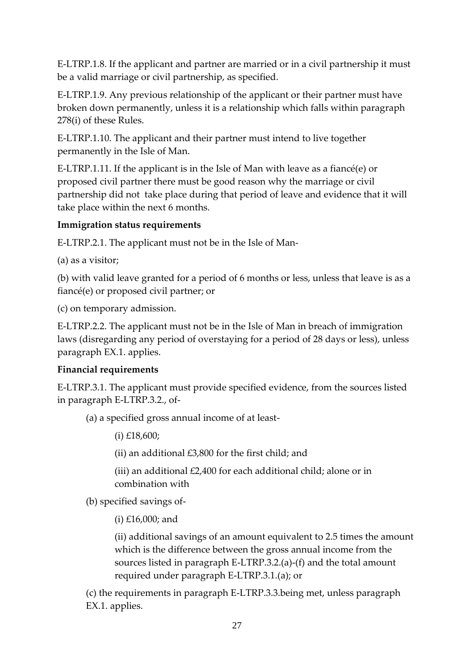E-LTRP.1.8. If the applicant and partner are married or in a civil partnership it must be a valid marriage or civil partnership, as specified.

E-LTRP.1.9. Any previous relationship of the applicant or their partner must have broken down permanently, unless it is a relationship which falls within paragraph 278(i) of these Rules.

E-LTRP.1.10. The applicant and their partner must intend to live together permanently in the Isle of Man.

E-LTRP.1.11. If the applicant is in the Isle of Man with leave as a fiancé(e) or proposed civil partner there must be good reason why the marriage or civil partnership did not take place during that period of leave and evidence that it will take place within the next 6 months.

## **Immigration status requirements**

E-LTRP.2.1. The applicant must not be in the Isle of Man-

(a) as a visitor;

(b) with valid leave granted for a period of 6 months or less, unless that leave is as a fiancé(e) or proposed civil partner; or

(c) on temporary admission.

E-LTRP.2.2. The applicant must not be in the Isle of Man in breach of immigration laws (disregarding any period of overstaying for a period of 28 days or less), unless paragraph EX.1. applies.

## **Financial requirements**

E-LTRP.3.1. The applicant must provide specified evidence, from the sources listed in paragraph E-LTRP.3.2., of-

(a) a specified gross annual income of at least-

(i) £18,600;

(ii) an additional  $£3,800$  for the first child; and

(iii) an additional £2,400 for each additional child; alone or in combination with

(b) specified savings of-

(i) £16,000; and

(ii) additional savings of an amount equivalent to 2.5 times the amount which is the difference between the gross annual income from the sources listed in paragraph E-LTRP.3.2.(a)-(f) and the total amount required under paragraph E-LTRP.3.1.(a); or

(c) the requirements in paragraph E-LTRP.3.3.being met, unless paragraph EX.1. applies.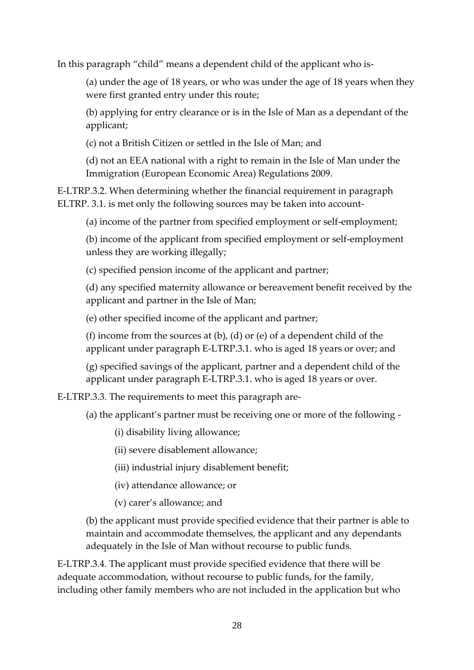In this paragraph 'child' means a dependent child of the applicant who is-

(a) under the age of 18 years, or who was under the age of 18 years when they were first granted entry under this route;

(b) applying for entry clearance or is in the Isle of Man as a dependant of the applicant;

(c) not a British Citizen or settled in the Isle of Man; and

(d) not an EEA national with a right to remain in the Isle of Man under the Immigration (European Economic Area) Regulations 2009.

E-LTRP.3.2. When determining whether the financial requirement in paragraph ELTRP. 3.1. is met only the following sources may be taken into account-

(a) income of the partner from specified employment or self-employment;

(b) income of the applicant from specified employment or self-employment unless they are working illegally;

(c) specified pension income of the applicant and partner;

(d) any specified maternity allowance or bereavement benefit received by the applicant and partner in the Isle of Man;

(e) other specified income of the applicant and partner;

(f) income from the sources at  $(b)$ ,  $(d)$  or  $(e)$  of a dependent child of the applicant under paragraph E-LTRP.3.1. who is aged 18 years or over; and

(g) specified savings of the applicant, partner and a dependent child of the applicant under paragraph E-LTRP.3.1. who is aged 18 years or over.

E-LTRP.3.3. The requirements to meet this paragraph are-

(a) the applicant's partner must be receiving one or more of the following -

(i) disability living allowance;

(ii) severe disablement allowance;

(iii) industrial injury disablement benefit;

(iv) attendance allowance; or

(v) carer's allowance; and

(b) the applicant must provide specified evidence that their partner is able to maintain and accommodate themselves, the applicant and any dependants adequately in the Isle of Man without recourse to public funds.

E-LTRP.3.4. The applicant must provide specified evidence that there will be adequate accommodation, without recourse to public funds, for the family, including other family members who are not included in the application but who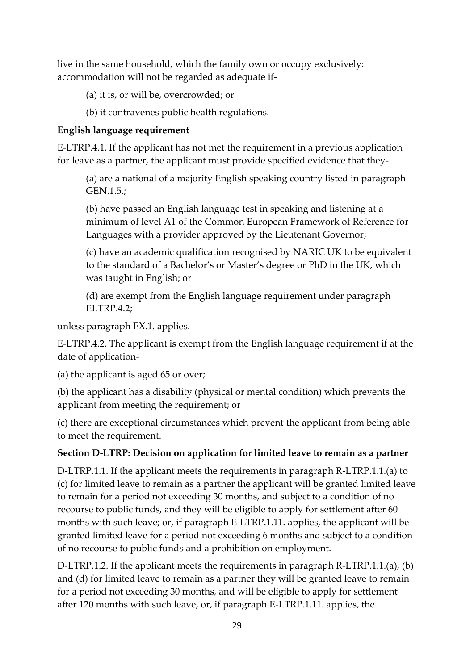live in the same household, which the family own or occupy exclusively: accommodation will not be regarded as adequate if-

(a) it is, or will be, overcrowded; or

(b) it contravenes public health regulations.

### **English language requirement**

E-LTRP.4.1. If the applicant has not met the requirement in a previous application for leave as a partner, the applicant must provide specified evidence that they-

(a) are a national of a majority English speaking country listed in paragraph GEN.1.5.;

(b) have passed an English language test in speaking and listening at a minimum of level A1 of the Common European Framework of Reference for Languages with a provider approved by the Lieutenant Governor;

(c) have an academic qualification recognised by NARIC UK to be equivalent to the standard of a Bachelor's or Master's degree or PhD in the UK, which was taught in English; or

(d) are exempt from the English language requirement under paragraph ELTRP.4.2;

unless paragraph EX.1. applies.

E-LTRP.4.2. The applicant is exempt from the English language requirement if at the date of application-

(a) the applicant is aged 65 or over;

(b) the applicant has a disability (physical or mental condition) which prevents the applicant from meeting the requirement; or

(c) there are exceptional circumstances which prevent the applicant from being able to meet the requirement.

## **Section D-LTRP: Decision on application for limited leave to remain as a partner**

D-LTRP.1.1. If the applicant meets the requirements in paragraph R-LTRP.1.1.(a) to (c) for limited leave to remain as a partner the applicant will be granted limited leave to remain for a period not exceeding 30 months, and subject to a condition of no recourse to public funds, and they will be eligible to apply for settlement after 60 months with such leave; or, if paragraph E-LTRP.1.11. applies, the applicant will be granted limited leave for a period not exceeding 6 months and subject to a condition of no recourse to public funds and a prohibition on employment.

D-LTRP.1.2. If the applicant meets the requirements in paragraph R-LTRP.1.1.(a), (b) and (d) for limited leave to remain as a partner they will be granted leave to remain for a period not exceeding 30 months, and will be eligible to apply for settlement after 120 months with such leave, or, if paragraph E-LTRP.1.11. applies, the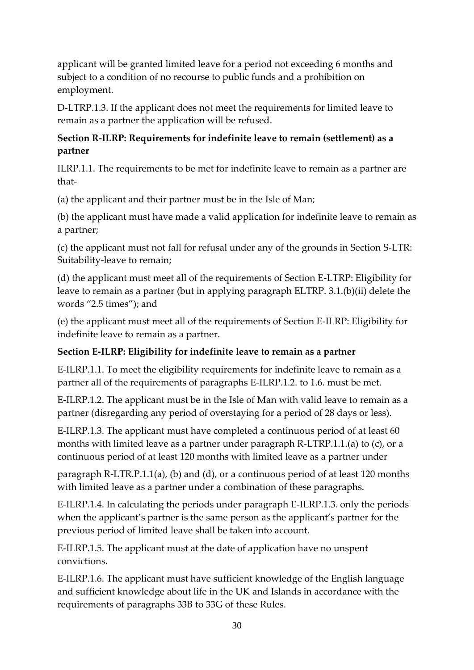applicant will be granted limited leave for a period not exceeding 6 months and subject to a condition of no recourse to public funds and a prohibition on employment.

D-LTRP.1.3. If the applicant does not meet the requirements for limited leave to remain as a partner the application will be refused.

# **Section R-ILRP: Requirements for indefinite leave to remain (settlement) as a partner**

ILRP.1.1. The requirements to be met for indefinite leave to remain as a partner are that-

(a) the applicant and their partner must be in the Isle of Man;

(b) the applicant must have made a valid application for indefinite leave to remain as a partner;

(c) the applicant must not fall for refusal under any of the grounds in Section S-LTR: Suitability-leave to remain;

(d) the applicant must meet all of the requirements of Section E-LTRP: Eligibility for leave to remain as a partner (but in applying paragraph ELTRP. 3.1.(b)(ii) delete the words '2.5 times'); and

(e) the applicant must meet all of the requirements of Section E-ILRP: Eligibility for indefinite leave to remain as a partner.

# **Section E-ILRP: Eligibility for indefinite leave to remain as a partner**

E-ILRP.1.1. To meet the eligibility requirements for indefinite leave to remain as a partner all of the requirements of paragraphs E-ILRP.1.2. to 1.6. must be met.

E-ILRP.1.2. The applicant must be in the Isle of Man with valid leave to remain as a partner (disregarding any period of overstaying for a period of 28 days or less).

E-ILRP.1.3. The applicant must have completed a continuous period of at least 60 months with limited leave as a partner under paragraph R-LTRP.1.1.(a) to (c), or a continuous period of at least 120 months with limited leave as a partner under

paragraph R-LTR.P.1.1(a), (b) and (d), or a continuous period of at least 120 months with limited leave as a partner under a combination of these paragraphs.

E-ILRP.1.4. In calculating the periods under paragraph E-ILRP.1.3. only the periods when the applicant's partner is the same person as the applicant's partner for the previous period of limited leave shall be taken into account.

E-ILRP.1.5. The applicant must at the date of application have no unspent convictions.

E-ILRP.1.6. The applicant must have sufficient knowledge of the English language and sufficient knowledge about life in the UK and Islands in accordance with the requirements of paragraphs 33B to 33G of these Rules.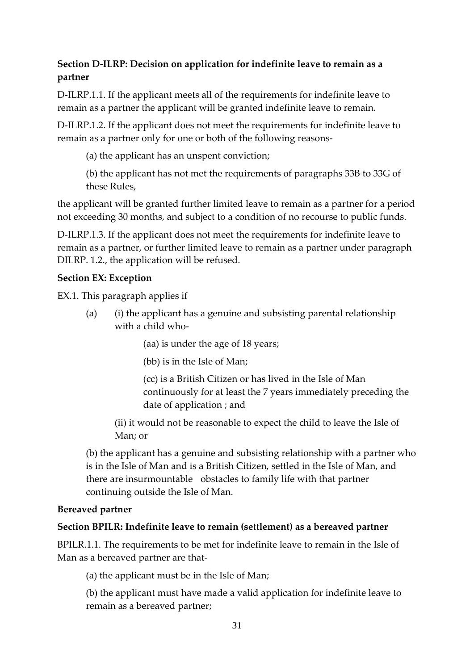## **Section D-ILRP: Decision on application for indefinite leave to remain as a partner**

D-ILRP.1.1. If the applicant meets all of the requirements for indefinite leave to remain as a partner the applicant will be granted indefinite leave to remain.

D-ILRP.1.2. If the applicant does not meet the requirements for indefinite leave to remain as a partner only for one or both of the following reasons-

(a) the applicant has an unspent conviction;

(b) the applicant has not met the requirements of paragraphs 33B to 33G of these Rules,

the applicant will be granted further limited leave to remain as a partner for a period not exceeding 30 months, and subject to a condition of no recourse to public funds.

D-ILRP.1.3. If the applicant does not meet the requirements for indefinite leave to remain as a partner, or further limited leave to remain as a partner under paragraph DILRP. 1.2., the application will be refused.

# **Section EX: Exception**

EX.1. This paragraph applies if

(a) (i) the applicant has a genuine and subsisting parental relationship with a child who-

(aa) is under the age of 18 years;

(bb) is in the Isle of Man;

(cc) is a British Citizen or has lived in the Isle of Man continuously for at least the 7 years immediately preceding the date of application ; and

(ii) it would not be reasonable to expect the child to leave the Isle of Man; or

(b) the applicant has a genuine and subsisting relationship with a partner who is in the Isle of Man and is a British Citizen, settled in the Isle of Man, and there are insurmountable obstacles to family life with that partner continuing outside the Isle of Man.

## **Bereaved partner**

## **Section BPILR: Indefinite leave to remain (settlement) as a bereaved partner**

BPILR.1.1. The requirements to be met for indefinite leave to remain in the Isle of Man as a bereaved partner are that-

(a) the applicant must be in the Isle of Man;

(b) the applicant must have made a valid application for indefinite leave to remain as a bereaved partner;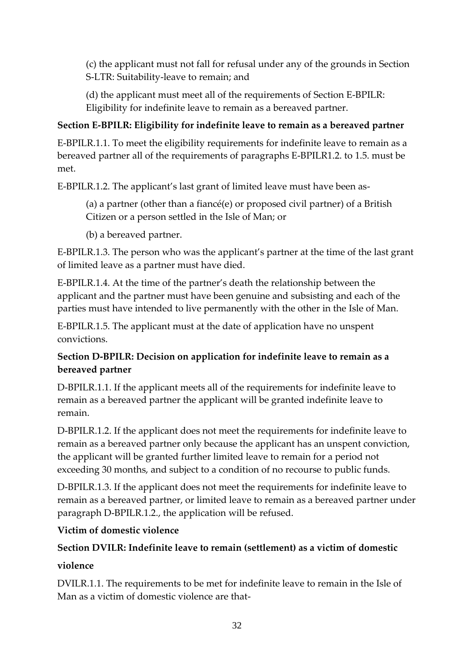(c) the applicant must not fall for refusal under any of the grounds in Section S-LTR: Suitability-leave to remain; and

(d) the applicant must meet all of the requirements of Section E-BPILR: Eligibility for indefinite leave to remain as a bereaved partner.

## **Section E-BPILR: Eligibility for indefinite leave to remain as a bereaved partner**

E-BPILR.1.1. To meet the eligibility requirements for indefinite leave to remain as a bereaved partner all of the requirements of paragraphs E-BPILR1.2. to 1.5. must be met.

E-BPILR.1.2. The applicant's last grant of limited leave must have been as-

(a) a partner (other than a fiancé(e) or proposed civil partner) of a British Citizen or a person settled in the Isle of Man; or

(b) a bereaved partner.

E-BPILR.1.3. The person who was the applicant's partner at the time of the last grant of limited leave as a partner must have died.

E-BPILR.1.4. At the time of the partner's death the relationship between the applicant and the partner must have been genuine and subsisting and each of the parties must have intended to live permanently with the other in the Isle of Man.

E-BPILR.1.5. The applicant must at the date of application have no unspent convictions.

# **Section D-BPILR: Decision on application for indefinite leave to remain as a bereaved partner**

D-BPILR.1.1. If the applicant meets all of the requirements for indefinite leave to remain as a bereaved partner the applicant will be granted indefinite leave to remain.

D-BPILR.1.2. If the applicant does not meet the requirements for indefinite leave to remain as a bereaved partner only because the applicant has an unspent conviction, the applicant will be granted further limited leave to remain for a period not exceeding 30 months, and subject to a condition of no recourse to public funds.

D-BPILR.1.3. If the applicant does not meet the requirements for indefinite leave to remain as a bereaved partner, or limited leave to remain as a bereaved partner under paragraph D-BPILR.1.2., the application will be refused.

## **Victim of domestic violence**

# **Section DVILR: Indefinite leave to remain (settlement) as a victim of domestic**

## **violence**

DVILR.1.1. The requirements to be met for indefinite leave to remain in the Isle of Man as a victim of domestic violence are that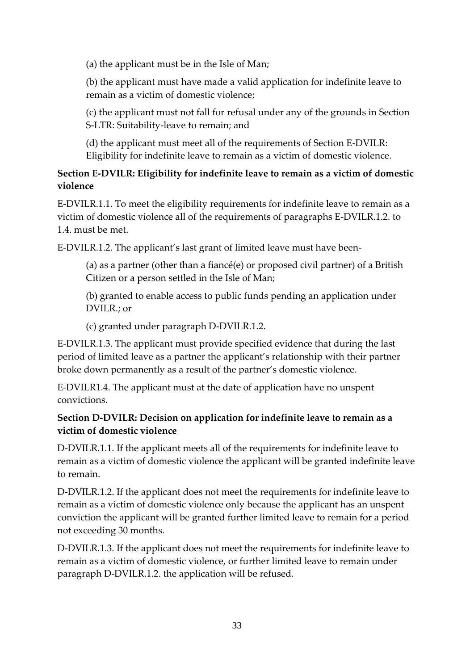(a) the applicant must be in the Isle of Man;

(b) the applicant must have made a valid application for indefinite leave to remain as a victim of domestic violence;

(c) the applicant must not fall for refusal under any of the grounds in Section S-LTR: Suitability-leave to remain; and

(d) the applicant must meet all of the requirements of Section E-DVILR: Eligibility for indefinite leave to remain as a victim of domestic violence.

## **Section E-DVILR: Eligibility for indefinite leave to remain as a victim of domestic violence**

E-DVILR.1.1. To meet the eligibility requirements for indefinite leave to remain as a victim of domestic violence all of the requirements of paragraphs E-DVILR.1.2. to 1.4. must be met.

E-DVILR.1.2. The applicant's last grant of limited leave must have been-

(a) as a partner (other than a fiancé(e) or proposed civil partner) of a British Citizen or a person settled in the Isle of Man;

(b) granted to enable access to public funds pending an application under DVILR.; or

(c) granted under paragraph D-DVILR.1.2.

E-DVILR.1.3. The applicant must provide specified evidence that during the last period of limited leave as a partner the applicant's relationship with their partner broke down permanently as a result of the partner's domestic violence.

E-DVILR1.4. The applicant must at the date of application have no unspent convictions.

# **Section D-DVILR: Decision on application for indefinite leave to remain as a victim of domestic violence**

D-DVILR.1.1. If the applicant meets all of the requirements for indefinite leave to remain as a victim of domestic violence the applicant will be granted indefinite leave to remain.

D-DVILR.1.2. If the applicant does not meet the requirements for indefinite leave to remain as a victim of domestic violence only because the applicant has an unspent conviction the applicant will be granted further limited leave to remain for a period not exceeding 30 months.

D-DVILR.1.3. If the applicant does not meet the requirements for indefinite leave to remain as a victim of domestic violence, or further limited leave to remain under paragraph D-DVILR.1.2. the application will be refused.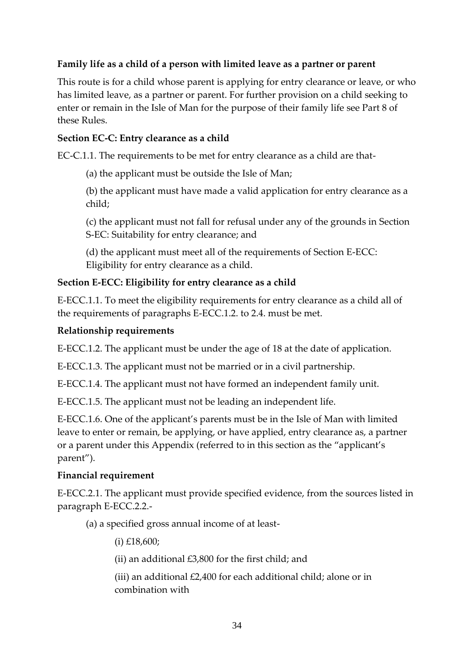## **Family life as a child of a person with limited leave as a partner or parent**

This route is for a child whose parent is applying for entry clearance or leave, or who has limited leave, as a partner or parent. For further provision on a child seeking to enter or remain in the Isle of Man for the purpose of their family life see Part 8 of these Rules.

### **Section EC-C: Entry clearance as a child**

EC-C.1.1. The requirements to be met for entry clearance as a child are that-

(a) the applicant must be outside the Isle of Man;

(b) the applicant must have made a valid application for entry clearance as a child;

(c) the applicant must not fall for refusal under any of the grounds in Section S-EC: Suitability for entry clearance; and

(d) the applicant must meet all of the requirements of Section E-ECC: Eligibility for entry clearance as a child.

## **Section E-ECC: Eligibility for entry clearance as a child**

E-ECC.1.1. To meet the eligibility requirements for entry clearance as a child all of the requirements of paragraphs E-ECC.1.2. to 2.4. must be met.

#### **Relationship requirements**

E-ECC.1.2. The applicant must be under the age of 18 at the date of application.

E-ECC.1.3. The applicant must not be married or in a civil partnership.

E-ECC.1.4. The applicant must not have formed an independent family unit.

E-ECC.1.5. The applicant must not be leading an independent life.

E-ECC.1.6. One of the applicant's parents must be in the Isle of Man with limited leave to enter or remain, be applying, or have applied, entry clearance as, a partner or a parent under this Appendix (referred to in this section as the 'applicant's parent').

#### **Financial requirement**

E-ECC.2.1. The applicant must provide specified evidence, from the sources listed in paragraph E-ECC.2.2.-

(a) a specified gross annual income of at least-

 $(i)$  £18,600;

(ii) an additional £3,800 for the first child; and

(iii) an additional £2,400 for each additional child; alone or in combination with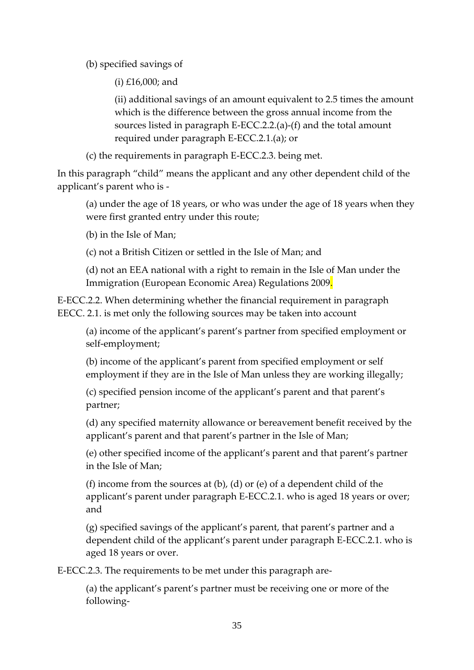(b) specified savings of

(i) £16,000; and

(ii) additional savings of an amount equivalent to 2.5 times the amount which is the difference between the gross annual income from the sources listed in paragraph E-ECC.2.2.(a)-(f) and the total amount required under paragraph E-ECC.2.1.(a); or

(c) the requirements in paragraph E-ECC.2.3. being met.

In this paragraph 'child' means the applicant and any other dependent child of the applicant's parent who is -

(a) under the age of 18 years, or who was under the age of 18 years when they were first granted entry under this route;

(b) in the Isle of Man;

(c) not a British Citizen or settled in the Isle of Man; and

(d) not an EEA national with a right to remain in the Isle of Man under the Immigration (European Economic Area) Regulations 2009.

E-ECC.2.2. When determining whether the financial requirement in paragraph EECC. 2.1. is met only the following sources may be taken into account

(a) income of the applicant's parent's partner from specified employment or self-employment;

(b) income of the applicant's parent from specified employment or self employment if they are in the Isle of Man unless they are working illegally;

(c) specified pension income of the applicant's parent and that parent's partner;

(d) any specified maternity allowance or bereavement benefit received by the applicant's parent and that parent's partner in the Isle of Man;

(e) other specified income of the applicant's parent and that parent's partner in the Isle of Man;

(f) income from the sources at  $(b)$ ,  $(d)$  or  $(e)$  of a dependent child of the applicant's parent under paragraph E-ECC.2.1. who is aged 18 years or over; and

(g) specified savings of the applicant's parent, that parent's partner and a dependent child of the applicant's parent under paragraph E-ECC.2.1. who is aged 18 years or over.

E-ECC.2.3. The requirements to be met under this paragraph are-

(a) the applicant's parent's partner must be receiving one or more of the following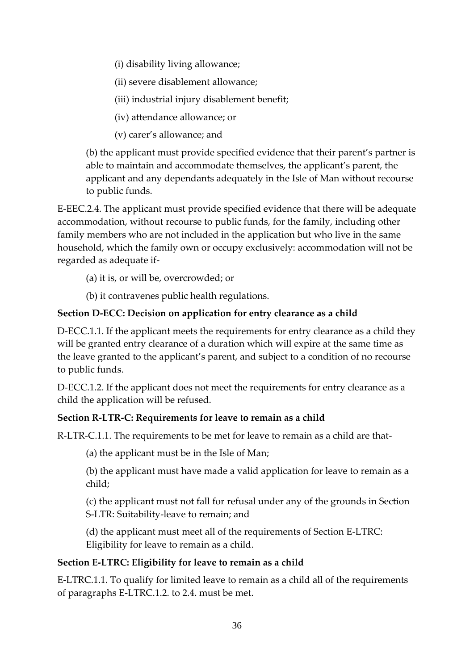(i) disability living allowance;

(ii) severe disablement allowance;

(iii) industrial injury disablement benefit;

(iv) attendance allowance; or

(v) carer's allowance; and

(b) the applicant must provide specified evidence that their parent's partner is able to maintain and accommodate themselves, the applicant's parent, the applicant and any dependants adequately in the Isle of Man without recourse to public funds.

E-EEC.2.4. The applicant must provide specified evidence that there will be adequate accommodation, without recourse to public funds, for the family, including other family members who are not included in the application but who live in the same household, which the family own or occupy exclusively: accommodation will not be regarded as adequate if-

(a) it is, or will be, overcrowded; or

(b) it contravenes public health regulations.

# **Section D-ECC: Decision on application for entry clearance as a child**

D-ECC.1.1. If the applicant meets the requirements for entry clearance as a child they will be granted entry clearance of a duration which will expire at the same time as the leave granted to the applicant's parent, and subject to a condition of no recourse to public funds.

D-ECC.1.2. If the applicant does not meet the requirements for entry clearance as a child the application will be refused.

## **Section R-LTR-C: Requirements for leave to remain as a child**

R-LTR-C.1.1. The requirements to be met for leave to remain as a child are that-

(a) the applicant must be in the Isle of Man;

(b) the applicant must have made a valid application for leave to remain as a child;

(c) the applicant must not fall for refusal under any of the grounds in Section S-LTR: Suitability-leave to remain; and

(d) the applicant must meet all of the requirements of Section E-LTRC: Eligibility for leave to remain as a child.

## **Section E-LTRC: Eligibility for leave to remain as a child**

E-LTRC.1.1. To qualify for limited leave to remain as a child all of the requirements of paragraphs E-LTRC.1.2. to 2.4. must be met.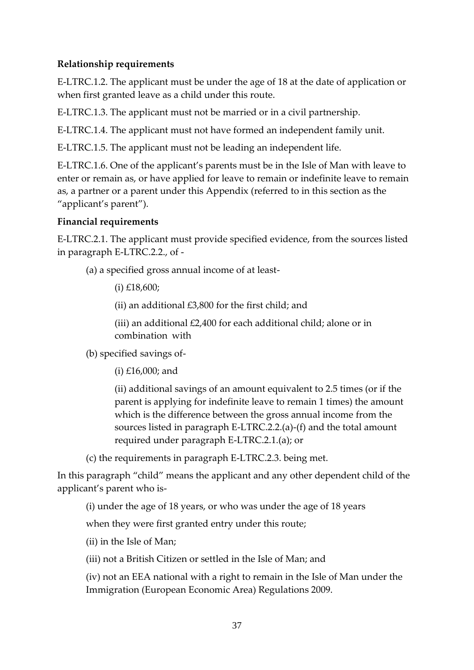### **Relationship requirements**

E-LTRC.1.2. The applicant must be under the age of 18 at the date of application or when first granted leave as a child under this route.

E-LTRC.1.3. The applicant must not be married or in a civil partnership.

E-LTRC.1.4. The applicant must not have formed an independent family unit.

E-LTRC.1.5. The applicant must not be leading an independent life.

E-LTRC.1.6. One of the applicant's parents must be in the Isle of Man with leave to enter or remain as, or have applied for leave to remain or indefinite leave to remain as, a partner or a parent under this Appendix (referred to in this section as the 'applicant's parent').

### **Financial requirements**

E-LTRC.2.1. The applicant must provide specified evidence, from the sources listed in paragraph E-LTRC.2.2., of -

(a) a specified gross annual income of at least-

(i) £18,600;

(ii) an additional  $£3,800$  for the first child; and

(iii) an additional £2,400 for each additional child; alone or in combination with

(b) specified savings of-

(i) £16,000; and

(ii) additional savings of an amount equivalent to 2.5 times (or if the parent is applying for indefinite leave to remain 1 times) the amount which is the difference between the gross annual income from the sources listed in paragraph E-LTRC.2.2.(a)-(f) and the total amount required under paragraph E-LTRC.2.1.(a); or

(c) the requirements in paragraph E-LTRC.2.3. being met.

In this paragraph 'child' means the applicant and any other dependent child of the applicant's parent who is-

(i) under the age of 18 years, or who was under the age of 18 years

when they were first granted entry under this route;

(ii) in the Isle of Man;

(iii) not a British Citizen or settled in the Isle of Man; and

(iv) not an EEA national with a right to remain in the Isle of Man under the Immigration (European Economic Area) Regulations 2009.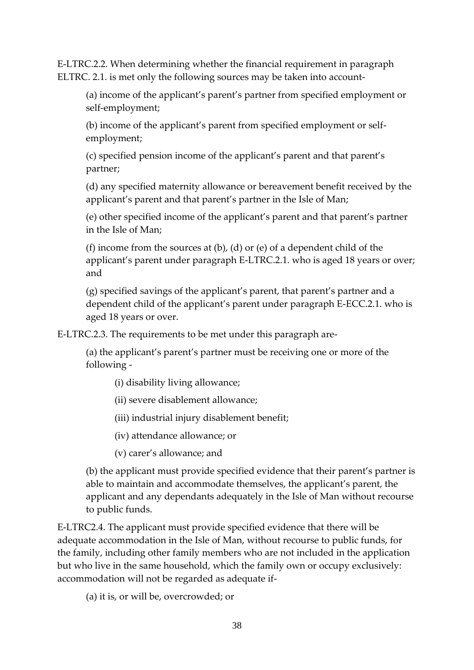E-LTRC.2.2. When determining whether the financial requirement in paragraph ELTRC. 2.1. is met only the following sources may be taken into account-

(a) income of the applicant's parent's partner from specified employment or self-employment;

(b) income of the applicant's parent from specified employment or selfemployment;

(c) specified pension income of the applicant's parent and that parent's partner;

(d) any specified maternity allowance or bereavement benefit received by the applicant's parent and that parent's partner in the Isle of Man;

(e) other specified income of the applicant's parent and that parent's partner in the Isle of Man;

(f) income from the sources at  $(b)$ ,  $(d)$  or  $(e)$  of a dependent child of the applicant's parent under paragraph E-LTRC.2.1. who is aged 18 years or over; and

(g) specified savings of the applicant's parent, that parent's partner and a dependent child of the applicant's parent under paragraph E-ECC.2.1. who is aged 18 years or over.

E-LTRC.2.3. The requirements to be met under this paragraph are-

(a) the applicant's parent's partner must be receiving one or more of the following -

(i) disability living allowance;

(ii) severe disablement allowance;

(iii) industrial injury disablement benefit;

(iv) attendance allowance; or

(v) carer's allowance; and

(b) the applicant must provide specified evidence that their parent's partner is able to maintain and accommodate themselves, the applicant's parent, the applicant and any dependants adequately in the Isle of Man without recourse to public funds.

E-LTRC2.4. The applicant must provide specified evidence that there will be adequate accommodation in the Isle of Man, without recourse to public funds, for the family, including other family members who are not included in the application but who live in the same household, which the family own or occupy exclusively: accommodation will not be regarded as adequate if-

(a) it is, or will be, overcrowded; or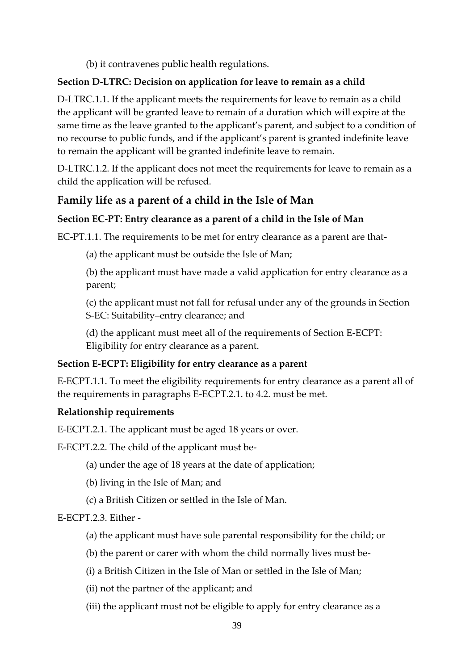(b) it contravenes public health regulations.

## **Section D-LTRC: Decision on application for leave to remain as a child**

D-LTRC.1.1. If the applicant meets the requirements for leave to remain as a child the applicant will be granted leave to remain of a duration which will expire at the same time as the leave granted to the applicant's parent, and subject to a condition of no recourse to public funds, and if the applicant's parent is granted indefinite leave to remain the applicant will be granted indefinite leave to remain.

D-LTRC.1.2. If the applicant does not meet the requirements for leave to remain as a child the application will be refused.

# **Family life as a parent of a child in the Isle of Man**

# **Section EC-PT: Entry clearance as a parent of a child in the Isle of Man**

EC-PT.1.1. The requirements to be met for entry clearance as a parent are that-

(a) the applicant must be outside the Isle of Man;

(b) the applicant must have made a valid application for entry clearance as a parent;

(c) the applicant must not fall for refusal under any of the grounds in Section S-EC: Suitability–entry clearance; and

(d) the applicant must meet all of the requirements of Section E-ECPT: Eligibility for entry clearance as a parent.

## **Section E-ECPT: Eligibility for entry clearance as a parent**

E-ECPT.1.1. To meet the eligibility requirements for entry clearance as a parent all of the requirements in paragraphs E-ECPT.2.1. to 4.2. must be met.

# **Relationship requirements**

E-ECPT.2.1. The applicant must be aged 18 years or over.

E-ECPT.2.2. The child of the applicant must be-

(a) under the age of 18 years at the date of application;

(b) living in the Isle of Man; and

(c) a British Citizen or settled in the Isle of Man.

E-ECPT.2.3. Either -

- (a) the applicant must have sole parental responsibility for the child; or
- (b) the parent or carer with whom the child normally lives must be-
- (i) a British Citizen in the Isle of Man or settled in the Isle of Man;
- (ii) not the partner of the applicant; and
- (iii) the applicant must not be eligible to apply for entry clearance as a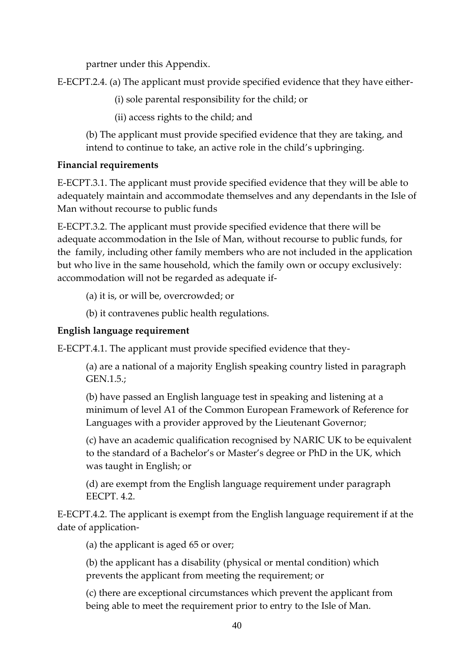partner under this Appendix.

E-ECPT.2.4. (a) The applicant must provide specified evidence that they have either-

(i) sole parental responsibility for the child; or

(ii) access rights to the child; and

(b) The applicant must provide specified evidence that they are taking, and intend to continue to take, an active role in the child's upbringing.

## **Financial requirements**

E-ECPT.3.1. The applicant must provide specified evidence that they will be able to adequately maintain and accommodate themselves and any dependants in the Isle of Man without recourse to public funds

E-ECPT.3.2. The applicant must provide specified evidence that there will be adequate accommodation in the Isle of Man, without recourse to public funds, for the family, including other family members who are not included in the application but who live in the same household, which the family own or occupy exclusively: accommodation will not be regarded as adequate if-

(a) it is, or will be, overcrowded; or

(b) it contravenes public health regulations.

# **English language requirement**

E-ECPT.4.1. The applicant must provide specified evidence that they-

(a) are a national of a majority English speaking country listed in paragraph GEN.1.5.;

(b) have passed an English language test in speaking and listening at a minimum of level A1 of the Common European Framework of Reference for Languages with a provider approved by the Lieutenant Governor;

(c) have an academic qualification recognised by NARIC UK to be equivalent to the standard of a Bachelor's or Master's degree or PhD in the UK, which was taught in English; or

(d) are exempt from the English language requirement under paragraph EECPT. 4.2.

E-ECPT.4.2. The applicant is exempt from the English language requirement if at the date of application-

(a) the applicant is aged 65 or over;

(b) the applicant has a disability (physical or mental condition) which prevents the applicant from meeting the requirement; or

(c) there are exceptional circumstances which prevent the applicant from being able to meet the requirement prior to entry to the Isle of Man.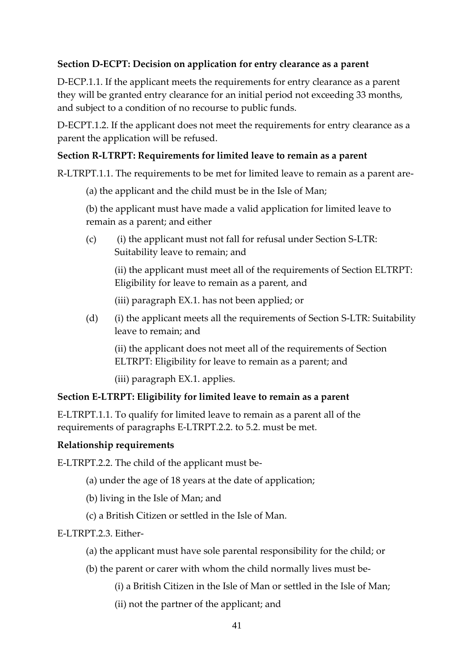## **Section D-ECPT: Decision on application for entry clearance as a parent**

D-ECP.1.1. If the applicant meets the requirements for entry clearance as a parent they will be granted entry clearance for an initial period not exceeding 33 months, and subject to a condition of no recourse to public funds.

D-ECPT.1.2. If the applicant does not meet the requirements for entry clearance as a parent the application will be refused.

### **Section R-LTRPT: Requirements for limited leave to remain as a parent**

R-LTRPT.1.1. The requirements to be met for limited leave to remain as a parent are-

(a) the applicant and the child must be in the Isle of Man;

(b) the applicant must have made a valid application for limited leave to remain as a parent; and either

(c) (i) the applicant must not fall for refusal under Section S-LTR: Suitability leave to remain; and

(ii) the applicant must meet all of the requirements of Section ELTRPT: Eligibility for leave to remain as a parent, and

(iii) paragraph EX.1. has not been applied; or

(d) (i) the applicant meets all the requirements of Section S-LTR: Suitability leave to remain; and

(ii) the applicant does not meet all of the requirements of Section ELTRPT: Eligibility for leave to remain as a parent; and

(iii) paragraph EX.1. applies.

## **Section E-LTRPT: Eligibility for limited leave to remain as a parent**

E-LTRPT.1.1. To qualify for limited leave to remain as a parent all of the requirements of paragraphs E-LTRPT.2.2. to 5.2. must be met.

#### **Relationship requirements**

E-LTRPT.2.2. The child of the applicant must be-

- (a) under the age of 18 years at the date of application;
- (b) living in the Isle of Man; and
- (c) a British Citizen or settled in the Isle of Man.
- E-LTRPT.2.3. Either-
	- (a) the applicant must have sole parental responsibility for the child; or
	- (b) the parent or carer with whom the child normally lives must be-
		- (i) a British Citizen in the Isle of Man or settled in the Isle of Man;
		- (ii) not the partner of the applicant; and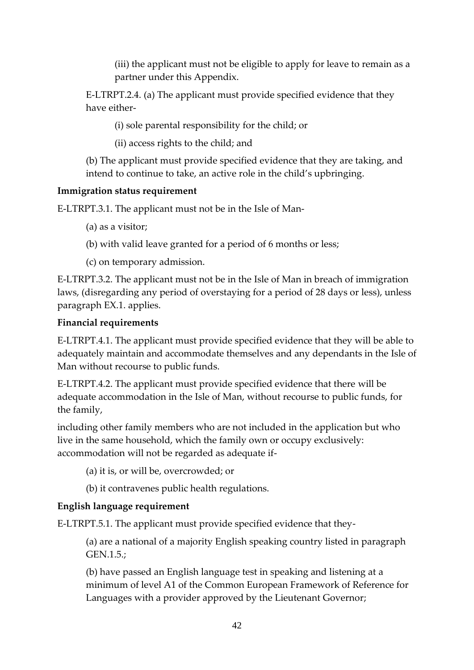(iii) the applicant must not be eligible to apply for leave to remain as a partner under this Appendix.

E-LTRPT.2.4. (a) The applicant must provide specified evidence that they have either-

(i) sole parental responsibility for the child; or

(ii) access rights to the child; and

(b) The applicant must provide specified evidence that they are taking, and intend to continue to take, an active role in the child's upbringing.

#### **Immigration status requirement**

E-LTRPT.3.1. The applicant must not be in the Isle of Man-

(a) as a visitor;

(b) with valid leave granted for a period of 6 months or less;

(c) on temporary admission.

E-LTRPT.3.2. The applicant must not be in the Isle of Man in breach of immigration laws, (disregarding any period of overstaying for a period of 28 days or less), unless paragraph EX.1. applies.

#### **Financial requirements**

E-LTRPT.4.1. The applicant must provide specified evidence that they will be able to adequately maintain and accommodate themselves and any dependants in the Isle of Man without recourse to public funds.

E-LTRPT.4.2. The applicant must provide specified evidence that there will be adequate accommodation in the Isle of Man, without recourse to public funds, for the family,

including other family members who are not included in the application but who live in the same household, which the family own or occupy exclusively: accommodation will not be regarded as adequate if-

- (a) it is, or will be, overcrowded; or
- (b) it contravenes public health regulations.

#### **English language requirement**

E-LTRPT.5.1. The applicant must provide specified evidence that they-

(a) are a national of a majority English speaking country listed in paragraph GEN.1.5.;

(b) have passed an English language test in speaking and listening at a minimum of level A1 of the Common European Framework of Reference for Languages with a provider approved by the Lieutenant Governor;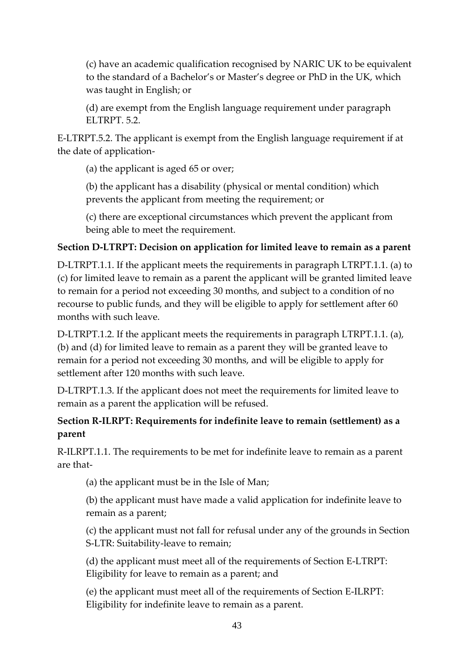(c) have an academic qualification recognised by NARIC UK to be equivalent to the standard of a Bachelor's or Master's degree or PhD in the UK, which was taught in English; or

(d) are exempt from the English language requirement under paragraph ELTRPT. 5.2.

E-LTRPT.5.2. The applicant is exempt from the English language requirement if at the date of application-

(a) the applicant is aged 65 or over;

(b) the applicant has a disability (physical or mental condition) which prevents the applicant from meeting the requirement; or

(c) there are exceptional circumstances which prevent the applicant from being able to meet the requirement.

## **Section D-LTRPT: Decision on application for limited leave to remain as a parent**

D-LTRPT.1.1. If the applicant meets the requirements in paragraph LTRPT.1.1. (a) to (c) for limited leave to remain as a parent the applicant will be granted limited leave to remain for a period not exceeding 30 months, and subject to a condition of no recourse to public funds, and they will be eligible to apply for settlement after 60 months with such leave.

D-LTRPT.1.2. If the applicant meets the requirements in paragraph LTRPT.1.1. (a), (b) and (d) for limited leave to remain as a parent they will be granted leave to remain for a period not exceeding 30 months, and will be eligible to apply for settlement after 120 months with such leave.

D-LTRPT.1.3. If the applicant does not meet the requirements for limited leave to remain as a parent the application will be refused.

# **Section R-ILRPT: Requirements for indefinite leave to remain (settlement) as a parent**

R-ILRPT.1.1. The requirements to be met for indefinite leave to remain as a parent are that-

(a) the applicant must be in the Isle of Man;

(b) the applicant must have made a valid application for indefinite leave to remain as a parent;

(c) the applicant must not fall for refusal under any of the grounds in Section S-LTR: Suitability-leave to remain;

(d) the applicant must meet all of the requirements of Section E-LTRPT: Eligibility for leave to remain as a parent; and

(e) the applicant must meet all of the requirements of Section E-ILRPT: Eligibility for indefinite leave to remain as a parent.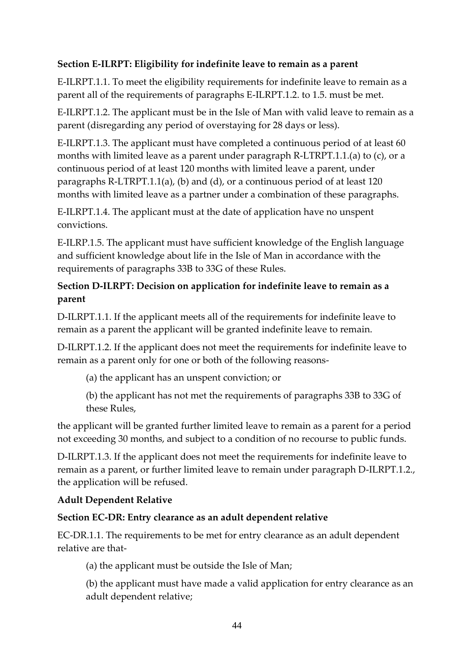## **Section E-ILRPT: Eligibility for indefinite leave to remain as a parent**

E-ILRPT.1.1. To meet the eligibility requirements for indefinite leave to remain as a parent all of the requirements of paragraphs E-ILRPT.1.2. to 1.5. must be met.

E-ILRPT.1.2. The applicant must be in the Isle of Man with valid leave to remain as a parent (disregarding any period of overstaying for 28 days or less).

E-ILRPT.1.3. The applicant must have completed a continuous period of at least 60 months with limited leave as a parent under paragraph R-LTRPT.1.1.(a) to (c), or a continuous period of at least 120 months with limited leave a parent, under paragraphs R-LTRPT.1.1(a), (b) and (d), or a continuous period of at least 120 months with limited leave as a partner under a combination of these paragraphs.

E-ILRPT.1.4. The applicant must at the date of application have no unspent convictions.

E-ILRP.1.5. The applicant must have sufficient knowledge of the English language and sufficient knowledge about life in the Isle of Man in accordance with the requirements of paragraphs 33B to 33G of these Rules.

## **Section D-ILRPT: Decision on application for indefinite leave to remain as a parent**

D-ILRPT.1.1. If the applicant meets all of the requirements for indefinite leave to remain as a parent the applicant will be granted indefinite leave to remain.

D-ILRPT.1.2. If the applicant does not meet the requirements for indefinite leave to remain as a parent only for one or both of the following reasons-

(a) the applicant has an unspent conviction; or

(b) the applicant has not met the requirements of paragraphs 33B to 33G of these Rules,

the applicant will be granted further limited leave to remain as a parent for a period not exceeding 30 months, and subject to a condition of no recourse to public funds.

D-ILRPT.1.3. If the applicant does not meet the requirements for indefinite leave to remain as a parent, or further limited leave to remain under paragraph D-ILRPT.1.2., the application will be refused.

## **Adult Dependent Relative**

## **Section EC-DR: Entry clearance as an adult dependent relative**

EC-DR.1.1. The requirements to be met for entry clearance as an adult dependent relative are that-

(a) the applicant must be outside the Isle of Man;

(b) the applicant must have made a valid application for entry clearance as an adult dependent relative;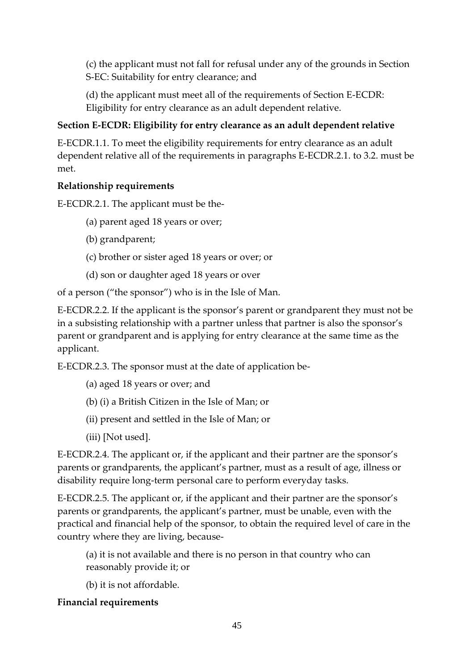(c) the applicant must not fall for refusal under any of the grounds in Section S-EC: Suitability for entry clearance; and

(d) the applicant must meet all of the requirements of Section E-ECDR: Eligibility for entry clearance as an adult dependent relative.

### **Section E-ECDR: Eligibility for entry clearance as an adult dependent relative**

E-ECDR.1.1. To meet the eligibility requirements for entry clearance as an adult dependent relative all of the requirements in paragraphs E-ECDR.2.1. to 3.2. must be met.

#### **Relationship requirements**

E-ECDR.2.1. The applicant must be the-

- (a) parent aged 18 years or over;
- (b) grandparent;
- (c) brother or sister aged 18 years or over; or
- (d) son or daughter aged 18 years or over

of a person ('the sponsor') who is in the Isle of Man.

E-ECDR.2.2. If the applicant is the sponsor's parent or grandparent they must not be in a subsisting relationship with a partner unless that partner is also the sponsor's parent or grandparent and is applying for entry clearance at the same time as the applicant.

E-ECDR.2.3. The sponsor must at the date of application be-

- (a) aged 18 years or over; and
- (b) (i) a British Citizen in the Isle of Man; or
- (ii) present and settled in the Isle of Man; or
- (iii) [Not used].

E-ECDR.2.4. The applicant or, if the applicant and their partner are the sponsor's parents or grandparents, the applicant's partner, must as a result of age, illness or disability require long-term personal care to perform everyday tasks.

E-ECDR.2.5. The applicant or, if the applicant and their partner are the sponsor's parents or grandparents, the applicant's partner, must be unable, even with the practical and financial help of the sponsor, to obtain the required level of care in the country where they are living, because-

(a) it is not available and there is no person in that country who can reasonably provide it; or

(b) it is not affordable.

#### **Financial requirements**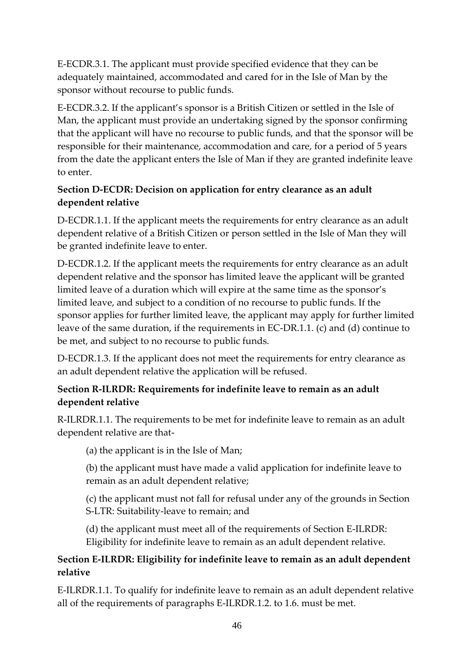E-ECDR.3.1. The applicant must provide specified evidence that they can be adequately maintained, accommodated and cared for in the Isle of Man by the sponsor without recourse to public funds.

E-ECDR.3.2. If the applicant's sponsor is a British Citizen or settled in the Isle of Man, the applicant must provide an undertaking signed by the sponsor confirming that the applicant will have no recourse to public funds, and that the sponsor will be responsible for their maintenance, accommodation and care, for a period of 5 years from the date the applicant enters the Isle of Man if they are granted indefinite leave to enter.

# **Section D-ECDR: Decision on application for entry clearance as an adult dependent relative**

D-ECDR.1.1. If the applicant meets the requirements for entry clearance as an adult dependent relative of a British Citizen or person settled in the Isle of Man they will be granted indefinite leave to enter.

D-ECDR.1.2. If the applicant meets the requirements for entry clearance as an adult dependent relative and the sponsor has limited leave the applicant will be granted limited leave of a duration which will expire at the same time as the sponsor's limited leave, and subject to a condition of no recourse to public funds. If the sponsor applies for further limited leave, the applicant may apply for further limited leave of the same duration, if the requirements in EC-DR.1.1. (c) and (d) continue to be met, and subject to no recourse to public funds.

D-ECDR.1.3. If the applicant does not meet the requirements for entry clearance as an adult dependent relative the application will be refused.

# **Section R-ILRDR: Requirements for indefinite leave to remain as an adult dependent relative**

R-ILRDR.1.1. The requirements to be met for indefinite leave to remain as an adult dependent relative are that-

(a) the applicant is in the Isle of Man;

(b) the applicant must have made a valid application for indefinite leave to remain as an adult dependent relative;

(c) the applicant must not fall for refusal under any of the grounds in Section S-LTR: Suitability-leave to remain; and

(d) the applicant must meet all of the requirements of Section E-ILRDR: Eligibility for indefinite leave to remain as an adult dependent relative.

# **Section E-ILRDR: Eligibility for indefinite leave to remain as an adult dependent relative**

E-ILRDR.1.1. To qualify for indefinite leave to remain as an adult dependent relative all of the requirements of paragraphs E-ILRDR.1.2. to 1.6. must be met.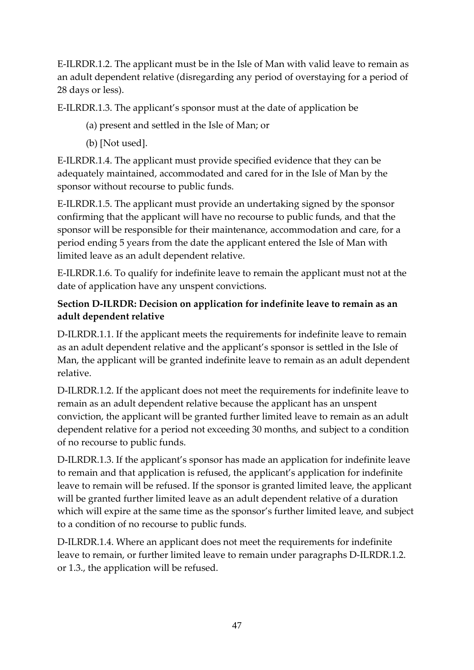E-ILRDR.1.2. The applicant must be in the Isle of Man with valid leave to remain as an adult dependent relative (disregarding any period of overstaying for a period of 28 days or less).

E-ILRDR.1.3. The applicant's sponsor must at the date of application be

(a) present and settled in the Isle of Man; or

(b) [Not used].

E-ILRDR.1.4. The applicant must provide specified evidence that they can be adequately maintained, accommodated and cared for in the Isle of Man by the sponsor without recourse to public funds.

E-ILRDR.1.5. The applicant must provide an undertaking signed by the sponsor confirming that the applicant will have no recourse to public funds, and that the sponsor will be responsible for their maintenance, accommodation and care, for a period ending 5 years from the date the applicant entered the Isle of Man with limited leave as an adult dependent relative.

E-ILRDR.1.6. To qualify for indefinite leave to remain the applicant must not at the date of application have any unspent convictions.

## **Section D-ILRDR: Decision on application for indefinite leave to remain as an adult dependent relative**

D-ILRDR.1.1. If the applicant meets the requirements for indefinite leave to remain as an adult dependent relative and the applicant's sponsor is settled in the Isle of Man, the applicant will be granted indefinite leave to remain as an adult dependent relative.

D-ILRDR.1.2. If the applicant does not meet the requirements for indefinite leave to remain as an adult dependent relative because the applicant has an unspent conviction, the applicant will be granted further limited leave to remain as an adult dependent relative for a period not exceeding 30 months, and subject to a condition of no recourse to public funds.

D-ILRDR.1.3. If the applicant's sponsor has made an application for indefinite leave to remain and that application is refused, the applicant's application for indefinite leave to remain will be refused. If the sponsor is granted limited leave, the applicant will be granted further limited leave as an adult dependent relative of a duration which will expire at the same time as the sponsor's further limited leave, and subject to a condition of no recourse to public funds.

D-ILRDR.1.4. Where an applicant does not meet the requirements for indefinite leave to remain, or further limited leave to remain under paragraphs D-ILRDR.1.2. or 1.3., the application will be refused.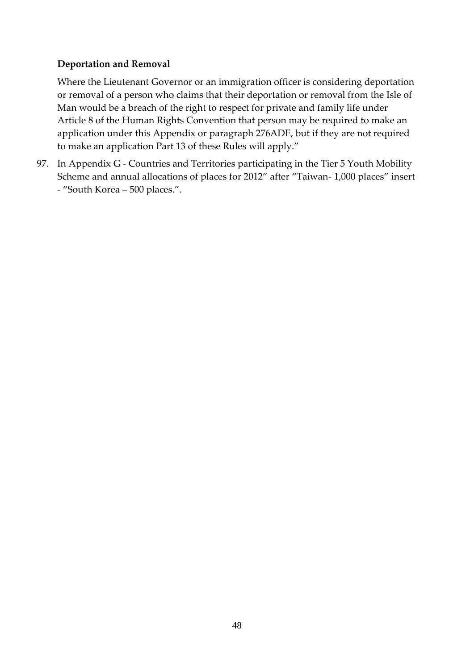#### **Deportation and Removal**

Where the Lieutenant Governor or an immigration officer is considering deportation or removal of a person who claims that their deportation or removal from the Isle of Man would be a breach of the right to respect for private and family life under Article 8 of the Human Rights Convention that person may be required to make an application under this Appendix or paragraph 276ADE, but if they are not required to make an application Part 13 of these Rules will apply.'

97. In Appendix G - Countries and Territories participating in the Tier 5 Youth Mobility Scheme and annual allocations of places for 2012' after 'Taiwan- 1,000 places' insert - 'South Korea – 500 places.'.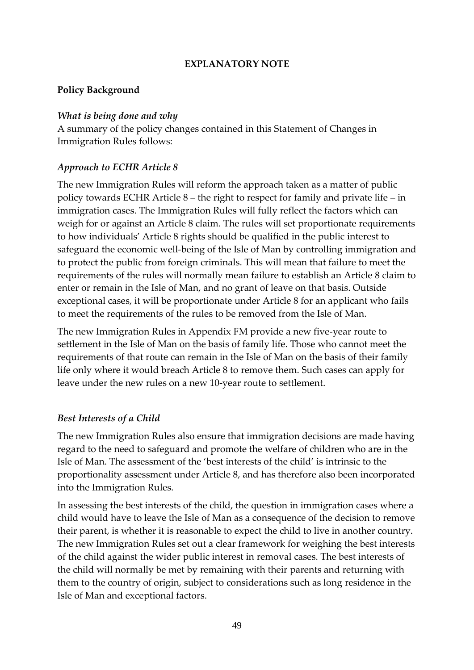#### **EXPLANATORY NOTE**

#### **Policy Background**

#### *What is being done and why*

A summary of the policy changes contained in this Statement of Changes in Immigration Rules follows:

### *Approach to ECHR Article 8*

The new Immigration Rules will reform the approach taken as a matter of public policy towards ECHR Article 8 – the right to respect for family and private life – in immigration cases. The Immigration Rules will fully reflect the factors which can weigh for or against an Article 8 claim. The rules will set proportionate requirements to how individuals' Article 8 rights should be qualified in the public interest to safeguard the economic well-being of the Isle of Man by controlling immigration and to protect the public from foreign criminals. This will mean that failure to meet the requirements of the rules will normally mean failure to establish an Article 8 claim to enter or remain in the Isle of Man, and no grant of leave on that basis. Outside exceptional cases, it will be proportionate under Article 8 for an applicant who fails to meet the requirements of the rules to be removed from the Isle of Man.

The new Immigration Rules in Appendix FM provide a new five-year route to settlement in the Isle of Man on the basis of family life. Those who cannot meet the requirements of that route can remain in the Isle of Man on the basis of their family life only where it would breach Article 8 to remove them. Such cases can apply for leave under the new rules on a new 10-year route to settlement.

#### *Best Interests of a Child*

The new Immigration Rules also ensure that immigration decisions are made having regard to the need to safeguard and promote the welfare of children who are in the Isle of Man. The assessment of the 'best interests of the child' is intrinsic to the proportionality assessment under Article 8, and has therefore also been incorporated into the Immigration Rules.

In assessing the best interests of the child, the question in immigration cases where a child would have to leave the Isle of Man as a consequence of the decision to remove their parent, is whether it is reasonable to expect the child to live in another country. The new Immigration Rules set out a clear framework for weighing the best interests of the child against the wider public interest in removal cases. The best interests of the child will normally be met by remaining with their parents and returning with them to the country of origin, subject to considerations such as long residence in the Isle of Man and exceptional factors.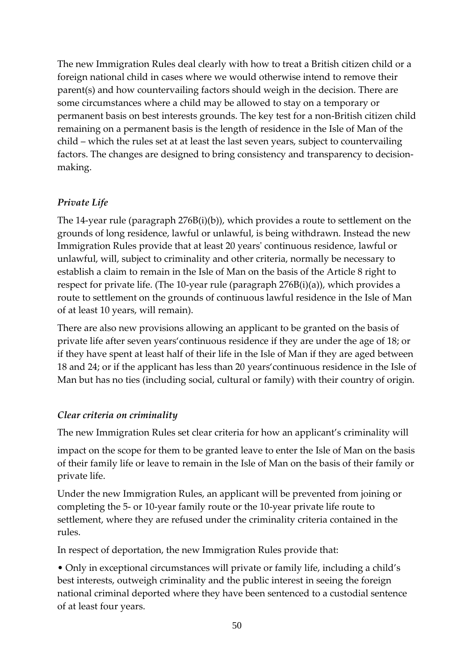The new Immigration Rules deal clearly with how to treat a British citizen child or a foreign national child in cases where we would otherwise intend to remove their parent(s) and how countervailing factors should weigh in the decision. There are some circumstances where a child may be allowed to stay on a temporary or permanent basis on best interests grounds. The key test for a non-British citizen child remaining on a permanent basis is the length of residence in the Isle of Man of the child – which the rules set at at least the last seven years, subject to countervailing factors. The changes are designed to bring consistency and transparency to decisionmaking.

## *Private Life*

The 14-year rule (paragraph 276B(i)(b)), which provides a route to settlement on the grounds of long residence, lawful or unlawful, is being withdrawn. Instead the new Immigration Rules provide that at least 20 years' continuous residence, lawful or unlawful, will, subject to criminality and other criteria, normally be necessary to establish a claim to remain in the Isle of Man on the basis of the Article 8 right to respect for private life. (The 10-year rule (paragraph 276B(i)(a)), which provides a route to settlement on the grounds of continuous lawful residence in the Isle of Man of at least 10 years, will remain).

There are also new provisions allowing an applicant to be granted on the basis of private life after seven years'continuous residence if they are under the age of 18; or if they have spent at least half of their life in the Isle of Man if they are aged between 18 and 24; or if the applicant has less than 20 years'continuous residence in the Isle of Man but has no ties (including social, cultural or family) with their country of origin.

#### *Clear criteria on criminality*

The new Immigration Rules set clear criteria for how an applicant's criminality will

impact on the scope for them to be granted leave to enter the Isle of Man on the basis of their family life or leave to remain in the Isle of Man on the basis of their family or private life.

Under the new Immigration Rules, an applicant will be prevented from joining or completing the 5- or 10-year family route or the 10-year private life route to settlement, where they are refused under the criminality criteria contained in the rules.

In respect of deportation, the new Immigration Rules provide that:

• Only in exceptional circumstances will private or family life, including a child's best interests, outweigh criminality and the public interest in seeing the foreign national criminal deported where they have been sentenced to a custodial sentence of at least four years.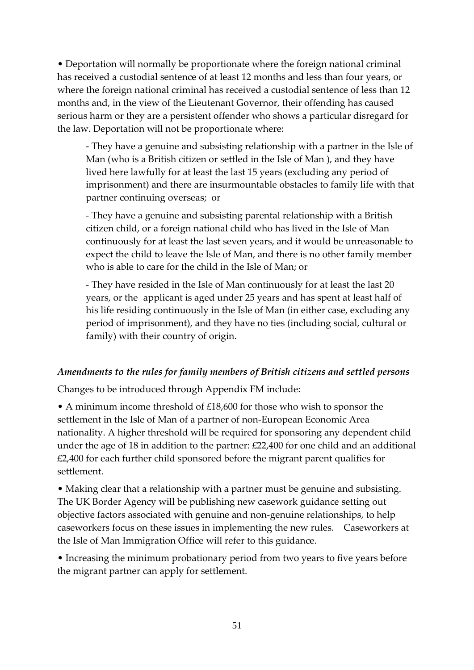• Deportation will normally be proportionate where the foreign national criminal has received a custodial sentence of at least 12 months and less than four years, or where the foreign national criminal has received a custodial sentence of less than 12 months and, in the view of the Lieutenant Governor, their offending has caused serious harm or they are a persistent offender who shows a particular disregard for the law. Deportation will not be proportionate where:

- They have a genuine and subsisting relationship with a partner in the Isle of Man (who is a British citizen or settled in the Isle of Man ), and they have lived here lawfully for at least the last 15 years (excluding any period of imprisonment) and there are insurmountable obstacles to family life with that partner continuing overseas; or

- They have a genuine and subsisting parental relationship with a British citizen child, or a foreign national child who has lived in the Isle of Man continuously for at least the last seven years, and it would be unreasonable to expect the child to leave the Isle of Man, and there is no other family member who is able to care for the child in the Isle of Man; or

- They have resided in the Isle of Man continuously for at least the last 20 years, or the applicant is aged under 25 years and has spent at least half of his life residing continuously in the Isle of Man (in either case, excluding any period of imprisonment), and they have no ties (including social, cultural or family) with their country of origin.

#### *Amendments to the rules for family members of British citizens and settled persons*

Changes to be introduced through Appendix FM include:

• A minimum income threshold of £18,600 for those who wish to sponsor the settlement in the Isle of Man of a partner of non-European Economic Area nationality. A higher threshold will be required for sponsoring any dependent child under the age of 18 in addition to the partner: £22,400 for one child and an additional £2,400 for each further child sponsored before the migrant parent qualifies for settlement.

• Making clear that a relationship with a partner must be genuine and subsisting. The UK Border Agency will be publishing new casework guidance setting out objective factors associated with genuine and non-genuine relationships, to help caseworkers focus on these issues in implementing the new rules. Caseworkers at the Isle of Man Immigration Office will refer to this guidance.

• Increasing the minimum probationary period from two years to five years before the migrant partner can apply for settlement.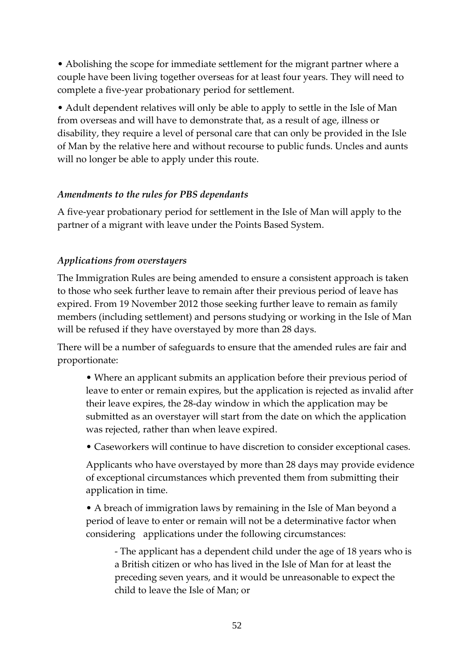• Abolishing the scope for immediate settlement for the migrant partner where a couple have been living together overseas for at least four years. They will need to complete a five-year probationary period for settlement.

• Adult dependent relatives will only be able to apply to settle in the Isle of Man from overseas and will have to demonstrate that, as a result of age, illness or disability, they require a level of personal care that can only be provided in the Isle of Man by the relative here and without recourse to public funds. Uncles and aunts will no longer be able to apply under this route.

#### *Amendments to the rules for PBS dependants*

A five-year probationary period for settlement in the Isle of Man will apply to the partner of a migrant with leave under the Points Based System.

### *Applications from overstayers*

The Immigration Rules are being amended to ensure a consistent approach is taken to those who seek further leave to remain after their previous period of leave has expired. From 19 November 2012 those seeking further leave to remain as family members (including settlement) and persons studying or working in the Isle of Man will be refused if they have overstayed by more than 28 days.

There will be a number of safeguards to ensure that the amended rules are fair and proportionate:

• Where an applicant submits an application before their previous period of leave to enter or remain expires, but the application is rejected as invalid after their leave expires, the 28-day window in which the application may be submitted as an overstayer will start from the date on which the application was rejected, rather than when leave expired.

• Caseworkers will continue to have discretion to consider exceptional cases.

Applicants who have overstayed by more than 28 days may provide evidence of exceptional circumstances which prevented them from submitting their application in time.

• A breach of immigration laws by remaining in the Isle of Man beyond a period of leave to enter or remain will not be a determinative factor when considering applications under the following circumstances:

- The applicant has a dependent child under the age of 18 years who is a British citizen or who has lived in the Isle of Man for at least the preceding seven years, and it would be unreasonable to expect the child to leave the Isle of Man; or